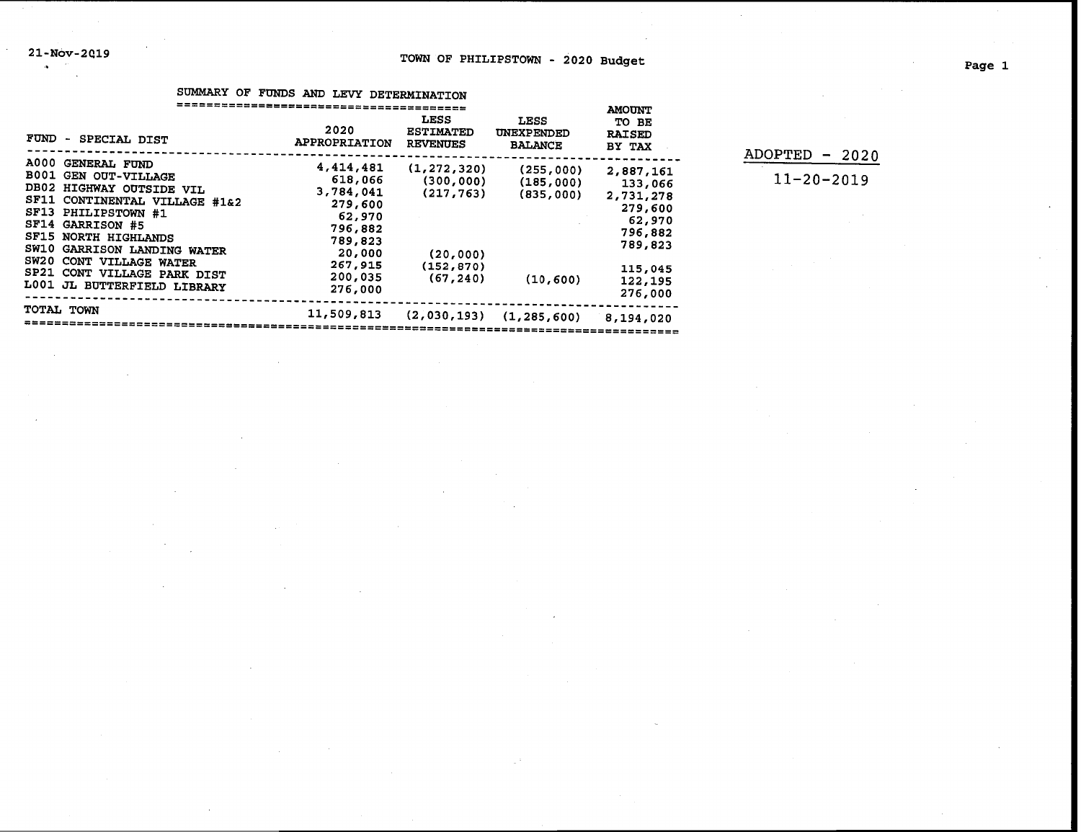|                                                                                                                                                                                                                                                                                                                                     |                                                                                                                         |                                                                                   |                                                  | <b>AMOUNT</b>                                                                                                 |
|-------------------------------------------------------------------------------------------------------------------------------------------------------------------------------------------------------------------------------------------------------------------------------------------------------------------------------------|-------------------------------------------------------------------------------------------------------------------------|-----------------------------------------------------------------------------------|--------------------------------------------------|---------------------------------------------------------------------------------------------------------------|
| FUND - SPECIAL DIST                                                                                                                                                                                                                                                                                                                 | 2020<br>APPROPRIATION                                                                                                   | LESS<br><b>ESTIMATED</b><br><b>REVENUES</b>                                       | <b>LESS</b><br>UNEXPENDED<br><b>BALANCE</b>      | TO BE<br><b>RAISED</b><br>BY TAX                                                                              |
| <b>A000</b><br><b>GENERAL FUND</b><br><b>B001</b><br><b>GEN OUT-VILLAGE</b><br>DB02 HIGHWAY OUTSIDE VIL<br>SF11 CONTINENTAL VILLAGE #1&2<br>SF13 PHILIPSTOWN #1<br>SF14 GARRISON #5<br>SF15 NORTH HIGHLANDS<br>SW10 GARRISON LANDING WATER<br>SW20 CONT VILLAGE WATER<br>SP21 CONT VILLAGE PARK DIST<br>L001 JL BUTTERFIELD LIBRARY | 4,414,481<br>618,066<br>3,784,041<br>279,600<br>62,970<br>796,882<br>789,823<br>20,000<br>267,915<br>200,035<br>276,000 | (1, 272, 320)<br>(300, 000)<br>(217, 763)<br>(20, 000)<br>(152, 870)<br>(67, 240) | (255,000)<br>(185,000)<br>(835,000)<br>(10, 600) | 2,887,161<br>133,066<br>2,731,278<br>279,600<br>62,970<br>796,882<br>789,823<br>115,045<br>122,195<br>276,000 |
| <b>TOTAL TOWN</b>                                                                                                                                                                                                                                                                                                                   | 11,509,813                                                                                                              | (2,030,193)                                                                       | (1, 285, 600)                                    | 8,194,020                                                                                                     |
|                                                                                                                                                                                                                                                                                                                                     |                                                                                                                         |                                                                                   |                                                  |                                                                                                               |

SUMMARY OF FUNDS AND LEVY DETERMINATION

| $ADOPTED - 2020$ |  |
|------------------|--|
| $11 - 20 - 2019$ |  |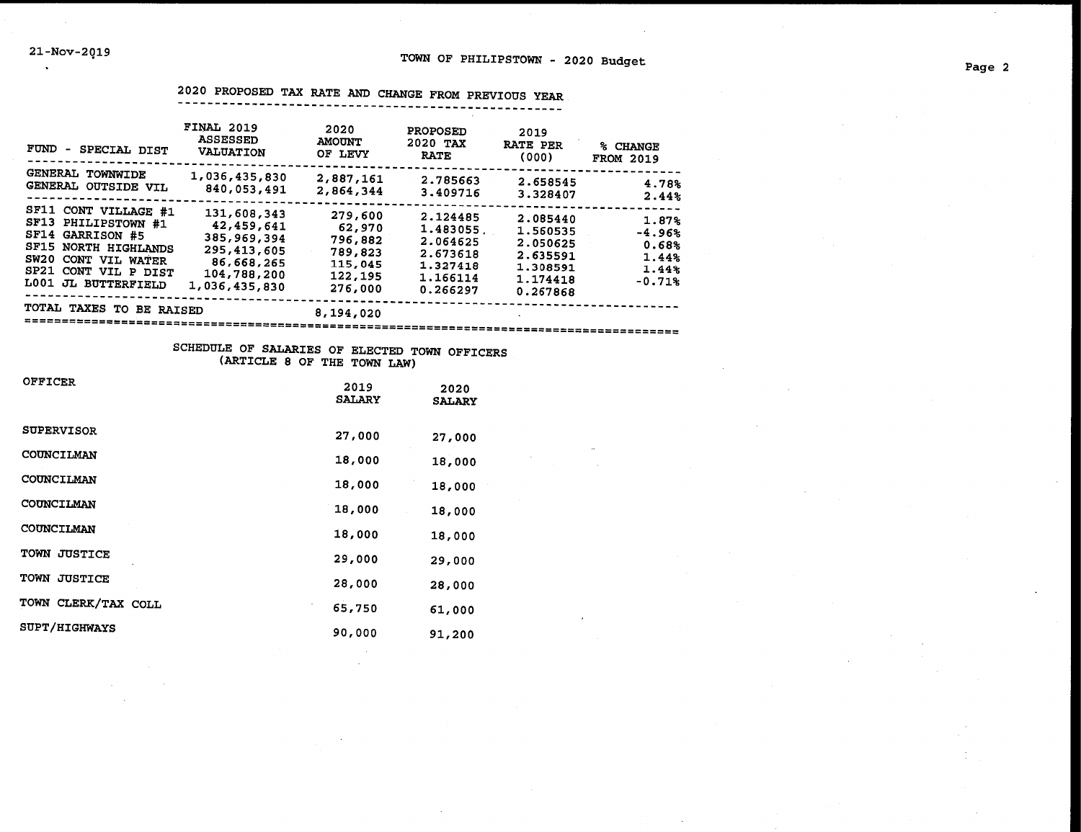2020 PROPOSED TAX RATE AND CHANGE FROM PREVIOUS YEAR ----------------------------------------------------

| FUND<br>SPECIAL DIST<br>-                                                                                                                                              | <b>FINAL 2019</b><br><b>ASSESSED</b><br><b>VALUATION</b>                                              | 2020<br><b>AMOUNT</b><br>OF LEVY                                         | <b>PROPOSED</b><br>2020 TAX<br><b>RATE</b>                                       | 2019<br><b>RATE PER</b><br>(000)                                                 | % CHANGE<br><b>FROM 2019</b>                             |
|------------------------------------------------------------------------------------------------------------------------------------------------------------------------|-------------------------------------------------------------------------------------------------------|--------------------------------------------------------------------------|----------------------------------------------------------------------------------|----------------------------------------------------------------------------------|----------------------------------------------------------|
| GENERAL TOWNWIDE<br>GENERAL OUTSIDE VIL                                                                                                                                | 1,036,435,830<br>840,053,491                                                                          | 2,887,161<br>2,864,344                                                   | 2.785663<br>3.409716                                                             | 2.658545<br>3.328407                                                             | 4.78%<br>2.44%                                           |
| SF11<br>CONT VILLAGE #1<br>SFI3<br>PHILIPSTOWN #1<br>SF14 GARRISON #5<br>SF15 NORTH HIGHLANDS<br>SW20<br>CONT VIL WATER<br>SP21 CONT VIL P DIST<br>L001 JL BUTTERFIELD | 131,608,343<br>42,459,641<br>385,969,394<br>295,413,605<br>86,668,265<br>104,788,200<br>1,036,435,830 | 279,600<br>62,970<br>796,882<br>789,823<br>115,045<br>122,195<br>276,000 | 2.124485<br>1.483055<br>2.064625<br>2.673618<br>1.327418<br>1.166114<br>0.266297 | 2.085440<br>1.560535<br>2.050625<br>2.635591<br>1.308591<br>1.174418<br>0.267868 | 1.87%<br>$-4.96%$<br>0.68%<br>1.44%<br>1.44%<br>$-0.71%$ |
| TOTAL TAXES TO<br><b>BE RAISED</b>                                                                                                                                     |                                                                                                       | 8,194,020                                                                |                                                                                  |                                                                                  |                                                          |

### SCHEDULE OF SALARIES OF ELECTED TOWN OFFICERS (ARTICLE 8 OF THE TOWN LAW)

========================================================================================

| <b>OFFICER</b>                | 2019<br><b>SALARY</b> | 2020<br><b>SALARY</b> |
|-------------------------------|-----------------------|-----------------------|
| <b>SUPERVISOR</b>             | 27,000                | 27,000                |
| <b>COUNCILMAN</b>             | 18,000                | 18,000                |
| COUNCILMAN                    | 18,000                | 18,000                |
| COUNCILMAN                    | 18,000                | 18,000                |
| COUNCILMAN                    | 18,000                | 18,000                |
| TOWN JUSTICE                  | 29,000                | 29,000                |
| <b>TOWN</b><br><b>JUSTICE</b> | 28,000                | 28,000                |
| TOWN CLERK/TAX COLL           | 65,750                | 61,000                |
| <b>SUPT/HIGHWAYS</b>          | 90,000                | 91,200                |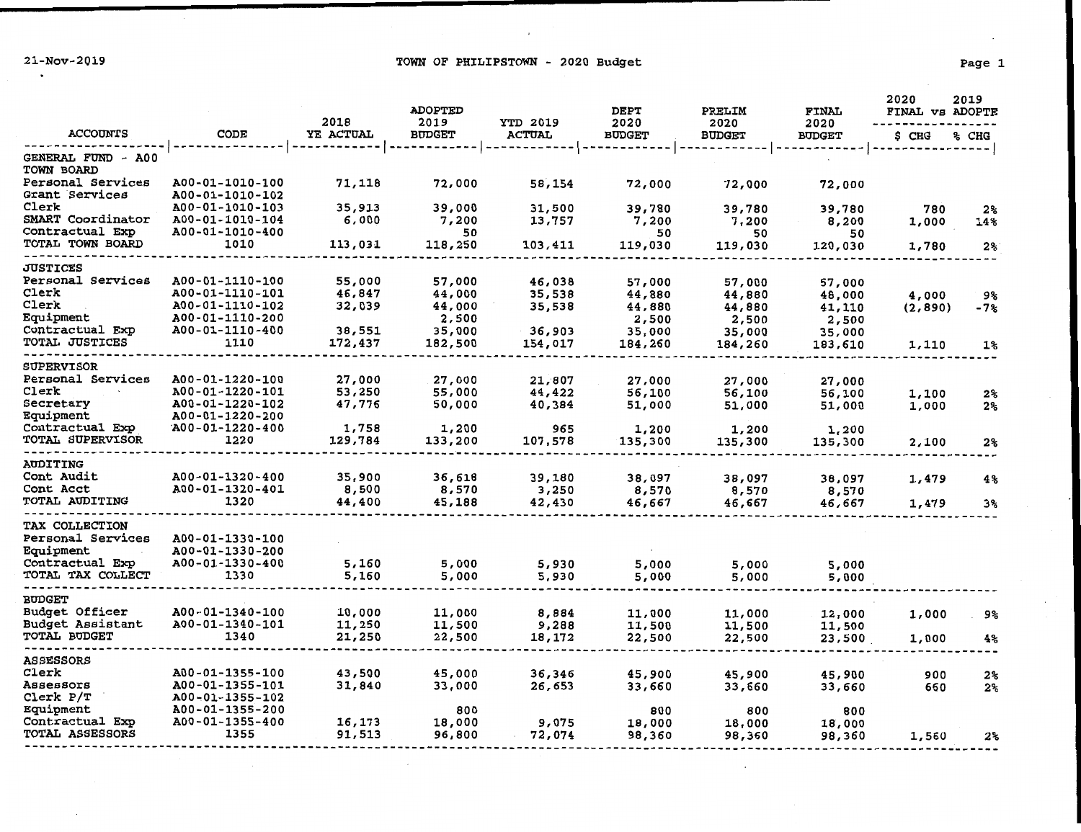21-Nov-2019 **Example 2018** TOWN OF PHILIPSTOWN - 2020 Budget

 $\cdot$ 

|                                     |                                    | 2018             | <b>ADOPTED</b><br>2019 | YTD 2019      | <b>DEPT</b><br>2020 | PRELIM<br>2020 | <b>FINAL</b><br>2020 | 2020<br>FINAL VS ADOPTE | 2019           |
|-------------------------------------|------------------------------------|------------------|------------------------|---------------|---------------------|----------------|----------------------|-------------------------|----------------|
| <b>ACCOUNTS</b>                     | CODE                               | YE ACTUAL        | <b>BUDGET</b>          | <b>ACTUAL</b> | <b>BUDGET</b>       | <b>BUDGET</b>  | <b>BUDGET</b>        | \$ CHG                  | % CHG          |
| GENERAL FUND - A00<br>TOWN BOARD    |                                    |                  |                        |               |                     |                |                      |                         |                |
| Personal Services<br>Grant Services | A00-01-1010-100<br>A00-01-1010-102 | 71,118           | 72,000                 | 58,154        | 72,000              | 72,000         | 72,000               |                         |                |
| Clerk                               | A00-01-1010-103                    | 35,913           | 39,000                 | 31,500        | 39,780              | 39,780         | 39,780               | 780                     | $2\,$          |
| SMART Coordinator                   | A00-01-1010-104                    | 6,000            | 7,200                  | 13,757        | 7,200               | 7,200          | 8,200                | 1,000                   | 14%            |
| Contractual Exp<br>TOTAL TOWN BOARD | A00-01-1010-400<br>1010            | 113,031          | 50<br>118,250          | 103,411       | 50<br>119,030       | 50<br>119,030  | 50<br>120,030        | 1,780                   | 2 <sup>9</sup> |
| <b>JUSTICES</b>                     |                                    |                  |                        |               |                     |                |                      |                         |                |
| Personal Services                   | A00-01-1110-100                    | 55,000           | 57,000                 | 46,038        | 57,000              | 57,000         | 57,000               |                         |                |
| Clerk                               | A00-01-1110-101                    | 46,847           | 44,000                 | 35,538        | 44,880              | 44,880         | 48,000               | 4,000                   | ୨%             |
| Clerk                               | A00-01-1110-102                    | 32,039           | 44,000                 | 35,538        | 44,880              | 44,880         | 41,110               | (2,890)                 | $-7%$          |
| Equipment                           | A00-01-1110-200                    |                  | 2,500                  |               | 2,500               | 2,500          | 2,500                |                         |                |
| Contractual Exp                     | A00-01-1110-400                    | 38,551           | 35,000                 | 36,903        | 35,000              | 35,000         | 35,000               |                         |                |
| TOTAL JUSTICES                      | 1110                               | 172,437          | 182,500                | 154,017       | 184,260             | 184,260        | 183,610              | 1,110                   | 1%             |
| <b>SUPERVISOR</b>                   |                                    |                  |                        |               |                     |                |                      |                         |                |
| Personal Services                   | A00-01-1220-100                    | 27,000           | 27,000                 | 21,807        | 27,000              | 27,000         | 27,000               |                         |                |
| Clerk                               | A00-01-1220-101                    | 53,250           | 55,000                 | 44,422        | 56,100              | 56,100         | 56,100               | 1,100                   | 2%             |
| Secretary                           | A00-01-1220-102                    | 47,776           | 50,000                 | 40,384        | 51,000              | 51,000         | 51,000               | 1,000                   | 2%             |
| Equipment                           | A00-01-1220-200                    |                  |                        |               |                     |                |                      |                         |                |
| Contractual Exp                     | $A00 - 01 - 1220 - 400$            | 1,758            | 1,200                  | 965           | 1,200               | 1,200          | 1,200                |                         |                |
| TOTAL SUPERVISOR                    | 1220                               | 129,784          | 133,200                | 107,578       | 135,300             | 135,300        | 135,300              | 2,100                   | 2%             |
| AUDITING                            |                                    |                  |                        |               |                     |                |                      |                         |                |
| Cont Audit                          | A00-01-1320-400                    | 35,900           | 36,618                 | 39,180        | 38,097              | 38,097         | 38,097               | 1,479                   | 4%             |
| Cont Acct                           | A00-01-1320-401                    | 8,500            | 8,570                  | 3,250         | 8,570               | 8,570          | 8,570                |                         |                |
| TOTAL AUDITING                      | 1320                               | 44,400           | 45,188                 | 42,430        | 46,667              | 46,667         | 46,667               | 1,479                   | 3%             |
| TAX COLLECTION                      |                                    |                  |                        |               |                     |                |                      |                         |                |
| Personal Services                   | A00-01-1330-100                    |                  |                        |               |                     |                |                      |                         |                |
| Equipment                           | A00-01-1330-200                    |                  |                        |               |                     |                |                      |                         |                |
| Contractual Exp                     | A00-01-1330-400                    | 5,160            | 5,000                  | 5,930         | 5,000               | 5,000          | 5,000                |                         |                |
| TOTAL TAX COLLECT                   | 1330                               | 5,160            | 5,000                  | 5,930         | 5,000               | 5,000          | 5,000                |                         |                |
| <b>BUDGET</b>                       |                                    |                  |                        |               |                     |                |                      |                         |                |
| Budget Officer                      | A00-01-1340-100                    | 10,000           | 11,000                 | 8,884         | 11,000              | 11,000         | 12,000               | 1,000                   | ୨%             |
| Budget Assistant                    | A00-01-1340-101                    | 11,250           | 11,500                 | 9,288         | 11,500              | 11,500         | 11,500               |                         |                |
| TOTAL BUDGET                        | 1340                               | 21,250           | 22,500                 | 18,172        | 22,500              | 22,500         | 23,500               | 1,000                   | 4%             |
| <b>ASSESSORS</b>                    |                                    |                  |                        |               |                     |                |                      |                         |                |
| Clerk                               | A00-01-1355-100                    | 43,500           | 45,000                 | 36,346        | 45,900              | 45,900         | 45,900               | 900                     | 2%             |
| Assessors                           | A00-01-1355-101                    | 31,840           | 33,000                 | 26,653        | 33,660              | 33,660         | 33,660               | 660                     | 2%             |
| Clerk P/T                           | A00-01-1355-102                    |                  |                        |               |                     |                |                      |                         |                |
| Equipment                           | A00-01-1355-200                    |                  | 800                    |               | 800                 | 800            | 800                  |                         |                |
| Contractual Exp<br>TOTAL ASSESSORS  | A00-01-1355-400<br>1355            | 16,173<br>91,513 | 18,000                 | 9,075         | 18,000              | 18,000         | 18,000               |                         |                |
|                                     |                                    |                  | 96,800                 | 72,074        | 98,360              | 98,360         | 98,360               | 1,560                   | 2 <sup>°</sup> |

-----------------------------------------------------------------------------------------------------------------------------------

 $\mathcal{A}$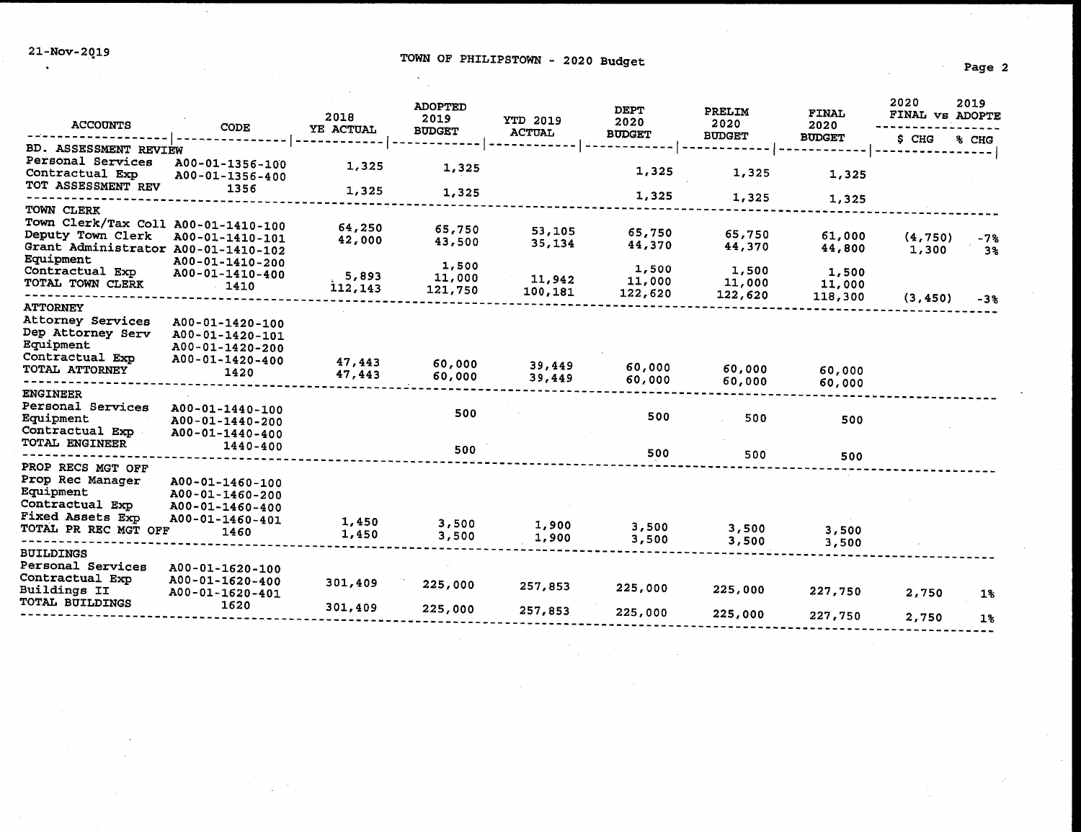$\mathcal{L}$ 

| <b>ACCOUNTS</b>                                                                                                   | <b>CODE</b>                                                                      | 2018<br>YE ACTUAL | <b>ADOPTED</b><br>2019     | <b>YTD 2019</b>   | <b>DEPT</b><br>2020        | PRELIM<br>2020             | <b>FINAL</b><br>2020       | 2020<br>FINAL VS ADOPTE | 2019        |
|-------------------------------------------------------------------------------------------------------------------|----------------------------------------------------------------------------------|-------------------|----------------------------|-------------------|----------------------------|----------------------------|----------------------------|-------------------------|-------------|
|                                                                                                                   |                                                                                  |                   | <b>BUDGET</b>              | <b>ACTUAL</b>     | <b>BUDGET</b>              | <b>BUDGET</b>              | <b>BUDGET</b>              | S CHG                   | % CHG       |
| BD. ASSESSMENT REVIEW<br>Personal Services<br>Contractual Exp                                                     | A00-01-1356-100<br>A00-01-1356-400                                               | 1,325             | 1,325                      |                   | 1,325                      | 1,325                      | 1,325                      |                         |             |
| TOT ASSESSMENT REV                                                                                                | 1356                                                                             | 1,325             | 1,325                      |                   | 1,325                      | 1,325                      | 1,325                      |                         |             |
| TOWN CLERK<br>Town Clerk/Tax Coll A00-01-1410-100<br>Deputy Town Clerk<br>Grant Administrator A00-01-1410-102     | A00-01-1410-101                                                                  | 64,250<br>42,000  | 65,750<br>43,500           | 53,105<br>35,134  | 65,750<br>44,370           | 65,750<br>44,370           | 61,000<br>44,800           | (4,750)<br>1,300        | $-7%$<br>3% |
| Equipment<br>Contractual Exp<br>TOTAL TOWN CLERK                                                                  | A00-01-1410-200<br>A00-01-1410-400<br>$-1410$                                    | 5,893<br>112,143  | 1,500<br>11,000<br>121,750 | 11,942<br>100,181 | 1,500<br>11,000<br>122,620 | 1,500<br>11,000<br>122,620 | 1,500<br>11,000<br>118,300 | (3, 450)                | $-3%$       |
| <b>ATTORNEY</b><br>Attorney Services<br>Dep Attorney Serv<br>Equipment<br>Contractual Exp<br>TOTAL ATTORNEY       | A00-01-1420-100<br>A00-01-1420-101<br>A00-01-1420-200<br>A00-01-1420-400<br>1420 | 47,443<br>47,443  | 60,000<br>60,000           | 39,449<br>39,449  | 60,000<br>60,000           | 60,000<br>60,000           | 60,000<br>60,000           |                         |             |
| <b>ENGINEER</b><br>Personal Services<br>Equipment<br>Contractual Exp<br>TOTAL ENGINEER                            | A00-01-1440-100<br>A00-01-1440-200<br>A00-01-1440-400<br>1440-400                |                   | 500<br>500                 |                   | 500<br>500                 | 500<br>500                 | 500                        |                         |             |
| PROP RECS MGT OFF<br>Prop Rec Manager<br>Equipment<br>Contractual Exp<br>Fixed Assets Exp<br>TOTAL PR REC MGT OFF | A00-01-1460-100<br>A00-01-1460-200<br>A00-01-1460-400<br>A00-01-1460-401<br>1460 | 1,450<br>1,450    | 3,500<br>3,500             | 1,900<br>1,900    | 3,500<br>3,500             | 3,500<br>3,500             | 500<br>3,500               |                         |             |
| <b>BUILDINGS</b>                                                                                                  |                                                                                  |                   |                            |                   |                            |                            | 3,500                      |                         |             |
| Personal Services<br>Contractual Exp<br><b>Buildings II</b>                                                       | A00-01-1620-100<br>A00-01-1620-400<br>A00-01-1620-401                            | 301,409           | 225,000                    | 257,853           | 225,000                    | 225,000                    | 227,750                    | 2,750                   | $1\%$       |
| TOTAL BUILDINGS                                                                                                   | 1620                                                                             | 301,409           | 225,000                    | 257,853           | 225,000                    | 225,000                    | 227,750                    | 2,750                   | $1\%$       |
|                                                                                                                   |                                                                                  |                   |                            |                   |                            |                            |                            |                         |             |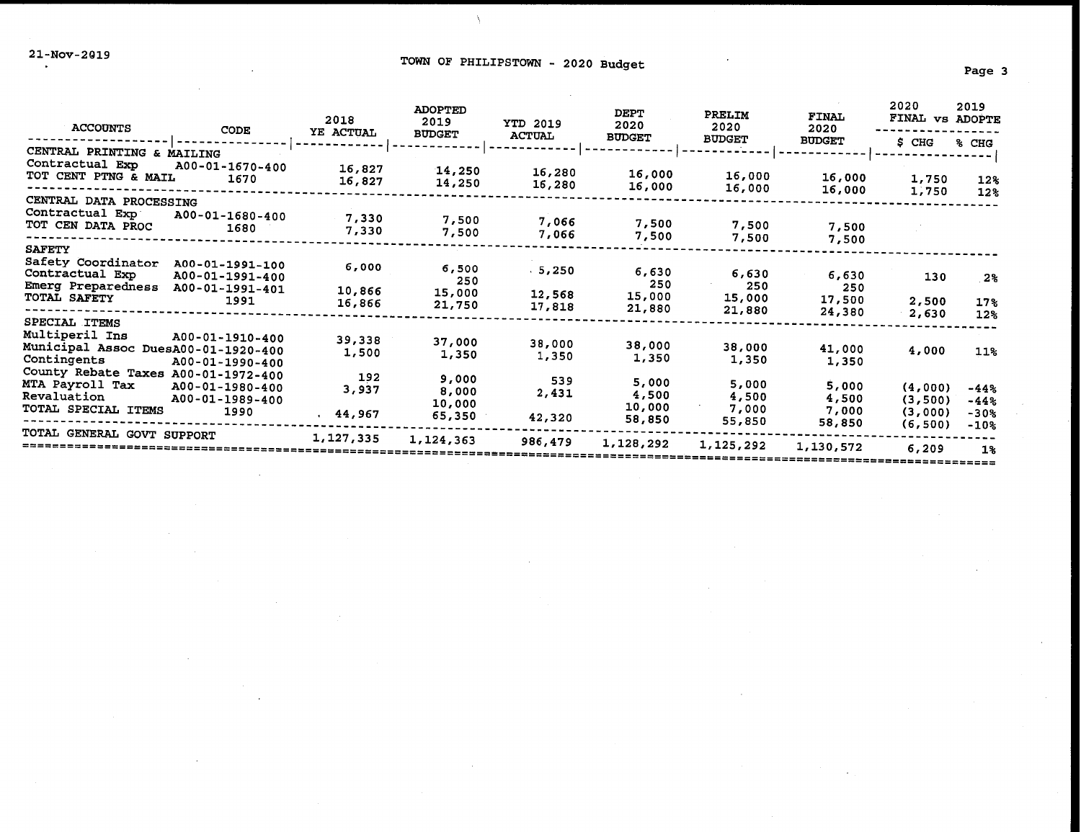# 21-Nov-2019<br>Page 3

 $\lambda$ 

| <b>ACCOUNTS</b>                                                                              | CODE                                                          | 2018<br>YE ACTUAL         | <b>ADOPTED</b><br>2019<br><b>BUDGET</b> | <b>YTD 2019</b><br><b>ACTUAL</b> | DEPT<br>2020<br><b>BUDGET</b>      | PRELIM<br>2020<br><b>BUDGET</b>   | <b>FINAL</b><br>2020<br><b>BUDGET</b> | 2020<br><b>FINAL</b><br>$S$ CHG | 2019<br><b>VS ADOPTE</b><br>% CHG |
|----------------------------------------------------------------------------------------------|---------------------------------------------------------------|---------------------------|-----------------------------------------|----------------------------------|------------------------------------|-----------------------------------|---------------------------------------|---------------------------------|-----------------------------------|
| CENTRAL PRINTING & MAILING<br>Contractual Exp<br>TOT CENT PTNG & MAIL                        | A00-01-1670-400<br>1670                                       | 16,827<br>16,827          | 14,250<br>14,250                        | 16,280<br>16,280                 | 16,000<br>16,000                   | 16,000<br>16,000                  | 16,000<br>16,000                      | 1,750<br>1,750                  | $12\%$<br>12 <sub>8</sub>         |
| CENTRAL DATA PROCESSING<br>Contractual Exp<br>TOT CEN DATA PROC                              | A00-01-1680-400<br>1680                                       | 7,330<br>7,330            | 7,500<br>7,500                          | 7,066<br>7,066                   | 7,500<br>7,500                     | 7,500<br>7,500                    | 7,500<br>7,500                        |                                 |                                   |
| <b>SAFETY</b><br>Safety Coordinator<br>Contractual Exp<br>Emerg Preparedness<br>TOTAL SAFETY | A00-01-1991-100<br>A00-01-1991-400<br>A00-01-1991-401<br>1991 | 6,000<br>10,866<br>16,866 | 6,500<br>250<br>15,000<br>21,750        | 5,250<br>12,568<br>17,818        | 6,630<br>250<br>15,000<br>21,880   | 6,630<br>250<br>15,000<br>21,880  | 6,630<br>250<br>17,500                | 130<br>2,500                    | 2%<br>17%                         |
| SPECIAL ITEMS<br>Multiperil Ins<br>Municipal Assoc DuesA00-01-1920-400<br>Contingents        | A00-01-1910-400<br>A00-01-1990-400                            | 39,338<br>1,500           | 37,000<br>1,350                         | 38,000<br>1,350                  | 38,000<br>1,350                    | 38,000<br>1,350                   | 24,380<br>41,000<br>1,350             | 2,630<br>4,000                  | $12*$<br>11%                      |
| County Rebate Taxes A00-01-1972-400<br>MTA Payroll Tax<br>Revaluation<br>TOTAL SPECIAL ITEMS | A00-01-1980-400<br>A00-01-1989-400<br>1990                    | 192<br>3,937<br>44,967    | 9,000<br>8,000<br>10,000<br>65,350      | 539<br>2,431<br>42,320           | 5,000<br>4,500<br>10,000<br>58,850 | 5,000<br>4,500<br>7,000<br>55,850 | 5,000<br>4,500<br>7,000<br>58,850     | (4,000)<br>(3,500)<br>(3,000)   | $-44%$<br>$-44%$<br>$-30%$        |
| TOTAL GENERAL GOVT SUPPORT                                                                   |                                                               | 1,127,335                 | 1,124,363                               | 986,479                          | 1,128,292                          | 1,125,292                         | 1,130,572                             | (6, 500)<br>6,209               | $-10%$<br>1%                      |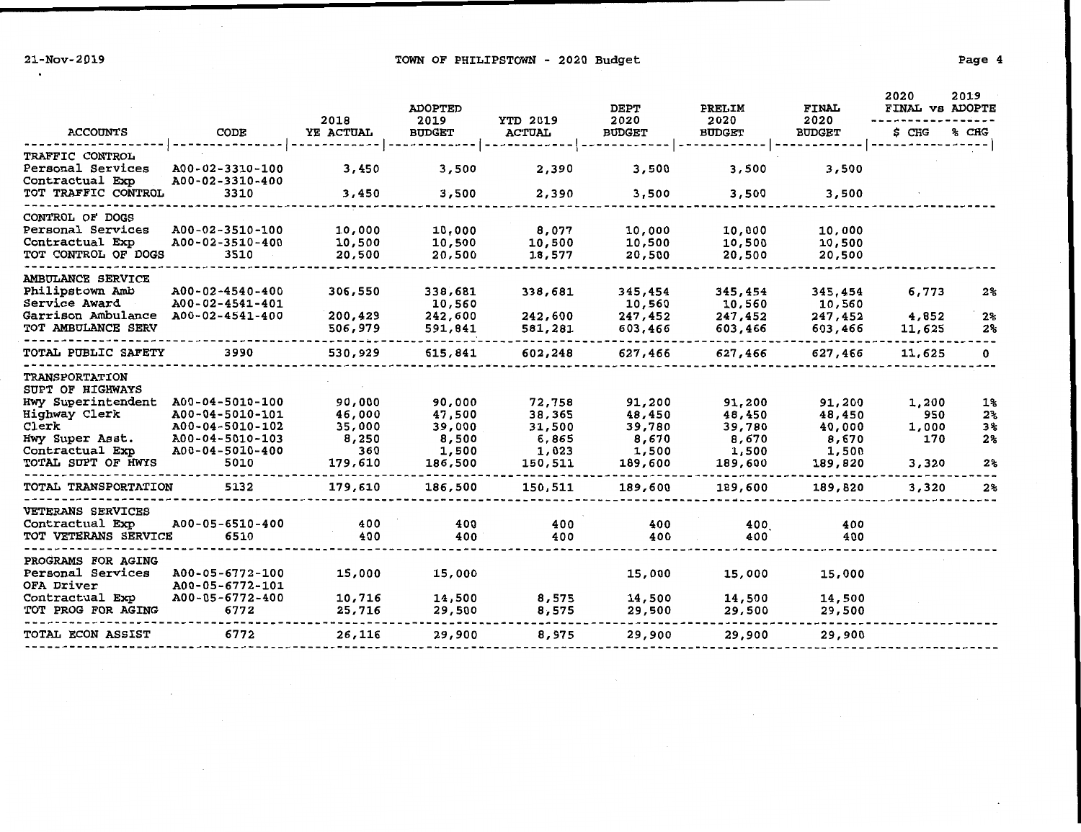$\mathcal{F}^{\mathcal{F}}$  and  $\mathcal{F}^{\mathcal{F}}$ 

 $\cdot$ 

## 21-Nov-2019 TOWN OF PHILIPSTOWN - 2020 Budget Page 4

|                                                                                                                                                       |                                                                                                     | 2018                                                  | <b>ADOPTED</b><br>2019                                  | <b>YTD 2019</b>                                         | <b>DEPT</b><br>2020                                     | PRELIM<br>2020                                          | <b>FINAL</b><br>2020                                    | 2020<br>FINAL VS ADOPTE               | 2019                                                           |
|-------------------------------------------------------------------------------------------------------------------------------------------------------|-----------------------------------------------------------------------------------------------------|-------------------------------------------------------|---------------------------------------------------------|---------------------------------------------------------|---------------------------------------------------------|---------------------------------------------------------|---------------------------------------------------------|---------------------------------------|----------------------------------------------------------------|
| <b>ACCOUNTS</b>                                                                                                                                       | CODE                                                                                                | YE ACTUAL                                             | <b>BUDGET</b>                                           | <b>ACTUAL</b>                                           | <b>BUDGET</b>                                           | <b>BUDGET</b>                                           | <b>BUDGET</b>                                           | \$ CHG                                | % CHG                                                          |
| TRAFFIC CONTROL<br>Personal Services<br>Contractual Exp<br>TOT TRAFFIC CONTROL                                                                        | A00-02-3310-100<br>A00-02-3310-400<br>3310                                                          | 3,450<br>3,450                                        | 3,500<br>3,500                                          | 2,390<br>2,390                                          | 3,500<br>3,500                                          | 3,500<br>3,500                                          | 3,500<br>3,500                                          |                                       |                                                                |
| CONTROL OF DOGS<br>Personal Services<br>Contractual Exp<br>TOT CONTROL OF DOGS                                                                        | A00-02-3510-100<br>A00-02-3510-400<br>3510                                                          | 10,000<br>10,500<br>20,500                            | 10,000<br>10,500<br>20,500                              | 8,077<br>10,500<br>18,577                               | 10,000<br>10,500<br>20,500                              | 10,000<br>10,500<br>20,500                              | 10,000<br>10,500<br>20,500                              |                                       |                                                                |
| AMBULANCE SERVICE<br>Philipstown Amb<br>Service Award<br>Garrison Ambulance<br>TOT AMBULANCE SERV                                                     | A00-02-4540-400<br>A00-02-4541-401<br>A00-02-4541-400                                               | 306,550<br>200,429<br>506,979                         | 338,681<br>10,560<br>242,600<br>591,841                 | 338,681<br>242,600<br>581,281                           | 345,454<br>10,560<br>247,452<br>603,466                 | 345,454<br>10,560<br>247,452<br>603,466                 | 345,454<br>10,560<br>247,452<br>603,466                 | 6,773<br>4,852<br>11,625              | $2\,$<br>2 <sub>8</sub><br>$2\%$                               |
| TOTAL PUBLIC SAFETY                                                                                                                                   | 3990                                                                                                | 530,929                                               | 615,841                                                 | 602,248                                                 | 627,466                                                 | 627,466                                                 | 627,466                                                 | 11,625                                | 0                                                              |
| <b>TRANSPORTATION</b><br>SUPT OF HIGHWAYS<br>Hwy Superintendent<br>Highway Clerk<br>Clerk<br>Hwy Super Asst.<br>Contractual Exp<br>TOTAL SUPT OF HWYS | A00-04-5010-100<br>A00-04-5010-101<br>A00-04-5010-102<br>A00-04-5010-103<br>A00-04-5010-400<br>5010 | 90,000<br>46,000<br>35,000<br>8,250<br>360<br>179,610 | 90,000<br>47,500<br>39,000<br>8,500<br>1,500<br>186,500 | 72,758<br>38,365<br>31,500<br>6,865<br>1,023<br>150,511 | 91,200<br>48,450<br>39,780<br>8,670<br>1,500<br>189,600 | 91,200<br>48,450<br>39,780<br>8,670<br>1,500<br>189,600 | 91,200<br>48,450<br>40,000<br>8,670<br>1,500<br>189,820 | 1,200<br>950<br>1,000<br>170<br>3,320 | 1%<br>2 <sup>°</sup><br>3%<br>2 <sub>3</sub><br>2 <sup>°</sup> |
| TOTAL TRANSPORTATION                                                                                                                                  | 5132                                                                                                | 179,610                                               | 186,500                                                 | 150,511                                                 | 189,600                                                 | 189,600                                                 | 189,820                                                 | 3,320                                 | $2\%$                                                          |
| <b>VETERANS SERVICES</b><br>Contractual Exp<br>TOT VETERANS SERVICE                                                                                   | A00-05-6510-400<br>6510                                                                             | 400<br>400                                            | 400<br>400                                              | 400<br>400                                              | 400<br>400                                              | 400<br>400                                              | 400<br>400                                              |                                       |                                                                |
| PROGRAMS FOR AGING<br>Personal Services<br>OFA Driver<br>Contractual Exp<br>TOT PROG FOR AGING                                                        | A00-05-6772-100<br>A00-05-6772-101<br>A00-05-6772-400<br>6772                                       | 15,000<br>10,716<br>25,716                            | 15,000<br>14,500<br>29,500                              | 8,575<br>8,575                                          | 15,000<br>14,500<br>29,500                              | 15,000<br>14,500<br>29,500                              | 15,000<br>14,500<br>29,500                              |                                       |                                                                |
| TOTAL ECON ASSIST                                                                                                                                     | 6772                                                                                                | 26,116                                                | 29,900                                                  | 8,975                                                   | 29,900                                                  | 29,900                                                  | 29,900                                                  |                                       |                                                                |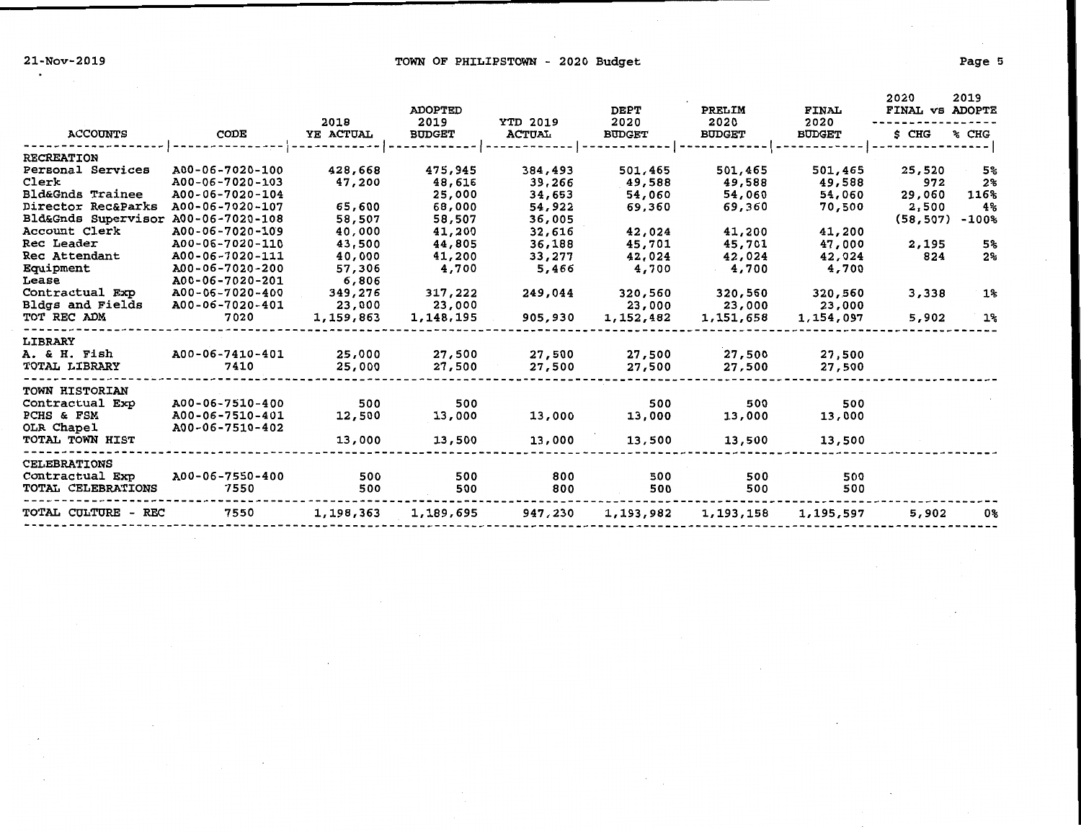21-Nov-2019 **TOWN OF PHILIPSTOWN** - 2020 Budget

|--|--|

| <b>ACCOUNTS</b>             | CODE            | 2018<br>YE ACTUAL | <b>ADOPTED</b><br>2019<br><b>BUDGET</b> | <b>YTD 2019</b><br><b>ACTUAL</b> | <b>DEPT</b><br>2020<br><b>BUDGET</b> | PRELIM<br>2020<br><b>BUDGET</b> | <b>FINAL</b><br>2020<br><b>BUDGET</b> | 2020<br>FINAL VS ADOPTE<br>S CHG | 2019<br>% CHG |
|-----------------------------|-----------------|-------------------|-----------------------------------------|----------------------------------|--------------------------------------|---------------------------------|---------------------------------------|----------------------------------|---------------|
| <b>RECREATION</b>           |                 |                   |                                         |                                  |                                      |                                 |                                       |                                  |               |
| Personal Services           | A00-06-7020-100 | 428,668           | 475,945                                 | 384,493                          | 501,465                              | 501,465                         | 501,465                               | 25,520                           | 5%            |
| Clerk                       | A00-06-7020-103 | 47,200            | 48,616                                  | 39,266                           | 49,588                               | 49,588                          | 49,588                                | 972                              | $2\%$         |
| <b>Bld&amp;Gnds Trainee</b> | A00-06-7020-104 |                   | 25,000                                  | 34,653                           | 54,060                               | 54,060                          | 54,060                                | 29,060                           | 116%          |
| Director Rec&Parks          | A00-06-7020-107 | 65,600            | 68,000                                  | 54,922                           | 69,360                               | 69,360                          | 70,500                                | 2,500                            | 4%            |
| Bld&Gnds Supervisor         | A00-06-7020-108 | 58,507            | 58,507                                  | 36,005                           |                                      |                                 |                                       | (58, 507)                        | $-100%$       |
| Account Clerk               | A00-06-7020-109 | 40,000            | 41,200                                  | 32,616                           | 42,024                               | 41,200                          | 41,200                                |                                  |               |
| Rec Leader                  | A00-06-7020-110 | 43,500            | 44,805                                  | 36,188                           | 45,701                               | 45,701                          | 47,000                                | 2,195                            | 5%            |
| Rec Attendant               | A00-06-7020-111 | 40,000            | 41,200                                  | 33,277                           | 42,024                               | 42,024                          | 42,024                                | 824                              | 2%            |
| Equipment                   | A00-06-7020-200 | 57,306            | 4,700                                   | 5,466                            | 4,700                                | 4,700                           | 4,700                                 |                                  |               |
| Lease                       | A00-06-7020-201 | 6,806             |                                         |                                  |                                      |                                 |                                       |                                  |               |
| Contractual Exp             | A00-06-7020-400 | 349,276           | 317,222                                 | 249,044                          | 320,560                              | 320,560                         | 320,560                               | 3,338                            | 1%            |
| Bldgs and Fields            | A00-06-7020-401 | 23,000            | 23,000                                  |                                  | 23,000                               | 23,000                          | 23,000                                |                                  |               |
| TOT REC ADM                 | 7020            | 1,159,863         | 1,148,195                               | 905,930                          | 1,152,482                            | 1,151,658                       | 1,154,097                             | 5,902                            | $1\%$         |
| LIBRARY                     |                 |                   |                                         |                                  |                                      |                                 |                                       |                                  |               |
| A. & H. Fish                | A00-06-7410-401 | 25,000            | 27,500                                  | 27,500                           | 27,500                               | 27,500                          | 27,500                                |                                  |               |
| <b>TOTAL LIBRARY</b>        | 7410            | 25,000            | 27,500                                  | 27,500                           | 27,500                               | 27,500                          | 27,500                                |                                  |               |
|                             |                 |                   |                                         |                                  |                                      |                                 |                                       |                                  |               |
| TOWN HISTORIAN              |                 |                   |                                         |                                  |                                      |                                 |                                       |                                  |               |
| Contractual Exp             | A00-06-7510-400 | 500               | 500                                     |                                  | 500                                  | 500                             | 500                                   |                                  |               |
| PCHS & FSM                  | A00-06-7510-401 | 12,500            | 13,000                                  | 13,000                           | 13,000                               | 13,000                          | 13,000                                |                                  |               |
| OLR Chapel                  | A00-06-7510-402 |                   |                                         |                                  |                                      |                                 |                                       |                                  |               |
| TOTAL TOWN HIST             |                 | 13,000            | 13,500                                  | 13,000                           | 13,500                               | 13,500                          | 13,500                                |                                  |               |
| <b>CELEBRATIONS</b>         |                 |                   |                                         |                                  |                                      |                                 |                                       |                                  |               |
| Contractual Exp             | A00-06-7550-400 | 500               | 500                                     | 800                              | 500                                  | 500                             | 500                                   |                                  |               |
| TOTAL CELEBRATIONS          | 7550            | 500               | 500                                     | 800                              | 500                                  | 500                             | 500                                   |                                  |               |
| TOTAL CULTURE - REC         | 7550            | 1,198,363         | 1,189,695                               | 947,230                          | 1,193,982                            | 1,193,158                       | 1,195,597                             | 5,902                            | 0%            |
|                             |                 |                   |                                         |                                  |                                      |                                 |                                       |                                  |               |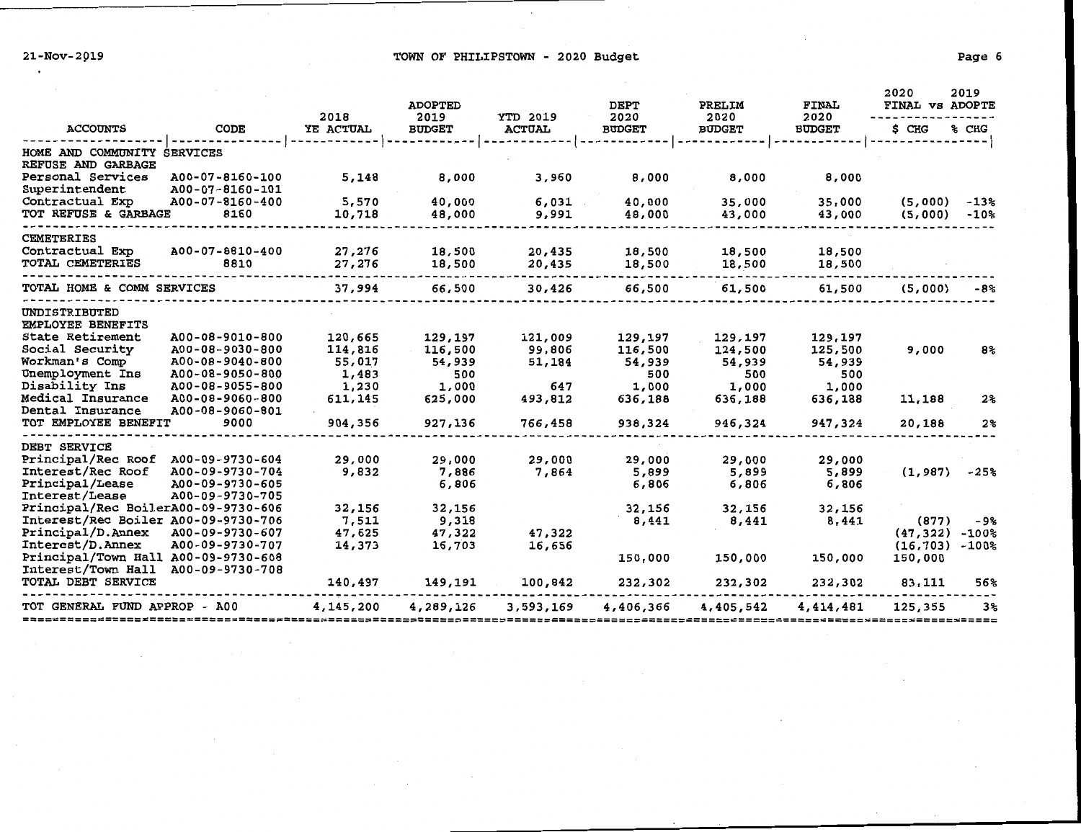21-Nov-2019 **Example 2018** TOWN OF PHILIPSTOWN - 2020 Budget

|                                          |                                    | 2018      | <b>ADOPTED</b><br>2019 | <b>YTD 2019</b> | <b>DEPT</b><br>2020 | PRELIM<br>2020 | <b>FINAL</b><br>2020 | 2020<br>FINAL VS ADOPTE | 2019           |
|------------------------------------------|------------------------------------|-----------|------------------------|-----------------|---------------------|----------------|----------------------|-------------------------|----------------|
| <b>ACCOUNTS</b>                          | CODE                               | YE ACTUAL | <b>BUDGET</b>          | <b>ACTUAL</b>   | <b>BUDGET</b>       | <b>BUDGET</b>  | <b>BUDGET</b>        | \$ CHG                  | % CHG          |
| HOME AND COMMUNITY<br>REFUSE AND GARBAGE | <b>SERVICES</b>                    |           |                        |                 |                     |                |                      |                         |                |
| Personal Services<br>Superintendent      | A00-07-8160-100<br>A00-07-8160-101 | 5,148     | 8,000                  | 3,960           | 8,000               | 8,000          | 8,000                |                         |                |
| Contractual Exp                          | A00-07-8160-400                    | 5,570     | 40,000                 | 6,031           | 40,000              | 35,000         | 35,000               | (5,000)                 | $-13%$         |
| TOT REFUSE & GARBAGE                     | 8160                               | 10,718    | 48,000                 | 9,991           | 48,000              | 43,000         | 43,000               | (5,000)                 | $-10%$         |
| <b>CEMETERIES</b>                        |                                    |           |                        |                 |                     |                |                      |                         |                |
| Contractual Exp                          | A00-07-8810-400                    | 27,276    | 18,500                 | 20,435          | 18,500              | 18,500         | 18,500               |                         |                |
| TOTAL CEMETERIES                         | 8810                               | 27,276    | 18,500                 | 20,435          | 18,500              | 18,500         | 18,500               |                         |                |
| TOTAL HOME & COMM SERVICES               |                                    | 37,994    | 66,500                 | 30,426          | 66,500              | 61,500         | 61,500               | (5,000)                 | -8%            |
| UNDISTRIBUTED<br>EMPLOYEE BENEFITS       |                                    |           |                        |                 |                     |                |                      |                         |                |
| <b>State Retirement</b>                  | A00-08-9010-800                    | 120,665   | 129,197                | 121,009         | 129,197             | 129,197        | 129,197              |                         |                |
| Social Security                          | A00-08-9030-800                    | 114,816   | 116,500                | 99,806          | 116,500             | 124,500        | 125,500              | 9,000                   | 8%             |
| Workman's Comp                           | A00-08-9040-800                    | 55,017    | 54,939                 | 51,184          | 54,939              | 54,939         | 54,939               |                         |                |
| Unemployment Ins                         | A00-08-9050-800                    | 1,483     | 500                    |                 | 500                 | 500            | 500                  |                         |                |
| Disability Ins                           | A00-08-9055-800                    | 1,230     | 1,000                  | 647             | 1,000               | 1,000          | 1,000                |                         |                |
| <b>Medical Insurance</b>                 | A00-08-9060-800                    | 611,145   | 625,000                | 493,812         | 636,188             | 636,188        | 636,188              | 11,188                  | 2 <sup>°</sup> |
| Dental Insurance                         | A00-08-9060-801                    |           |                        |                 |                     |                |                      |                         |                |
| TOT EMPLOYEE BENEFIT                     | 9000                               | 904,356   | 927,136                | 766,458         | 938,324             | 946,324        | 947,324              | 20,188                  | $2\%$          |
| <b>DEBT SERVICE</b>                      |                                    |           |                        |                 |                     |                |                      |                         |                |
| Principal/Rec Roof                       | A00-09-9730-604                    | 29,000    | 29,000                 | 29,000          | 29,000              | 29,000         | 29,000               |                         |                |
| Interest/Rec Roof                        | A00-09-9730-704                    | 9,832     | 7,886                  | 7,864           | 5,899               | 5,899          | 5,899                | (1, 987)                | $-25%$         |
| Principal/Lease                          | A00-09-9730-605                    |           | 6,806                  |                 | 6,806               | 6,806          | 6,806                |                         |                |
| <b>Interest/Lease</b>                    | A00-09-9730-705                    |           |                        |                 |                     |                |                      |                         |                |
| Principal/Rec BoilerA00-09-9730-606      |                                    | 32,156    | 32,156                 |                 | 32,156              | 32,156         | 32,156               |                         |                |
| Interest/Rec Boiler A00-09-9730-706      |                                    | 7,511     | 9,318                  |                 | 8,441               | 8,441          | 8,441                | (877)                   | -9%            |
| Principal/D.Annex                        | A00-09-9730-607                    | 47,625    | 47,322                 | 47,322          |                     |                |                      | (47, 322)               | $-100%$        |
| Interest/D.Annex                         | A00-09-9730-707                    | 14,373    | 16,703                 | 16,656          |                     |                |                      | (16, 703)               | $-100%$        |
| Principal/Town Hall A00-09-9730-608      |                                    |           |                        |                 | 150,000             | 150,000        | 150,000              | 150,000                 |                |
| Interest/Town Hall<br>TOTAL DEBT SERVICE | A00-09-9730-708                    | 140,497   | 149,191                | 100,842         | 232,302             | 232,302        | 232,302              | 83,111                  | 56%            |
| TOT GENERAL FUND APPROP - A00            |                                    | 4,145,200 | 4,289,126              | 3,593,169       | 4,406,366           | 4,405,542      | 4,414,481            | 125,355                 | 3%             |
|                                          |                                    |           |                        |                 |                     |                |                      |                         |                |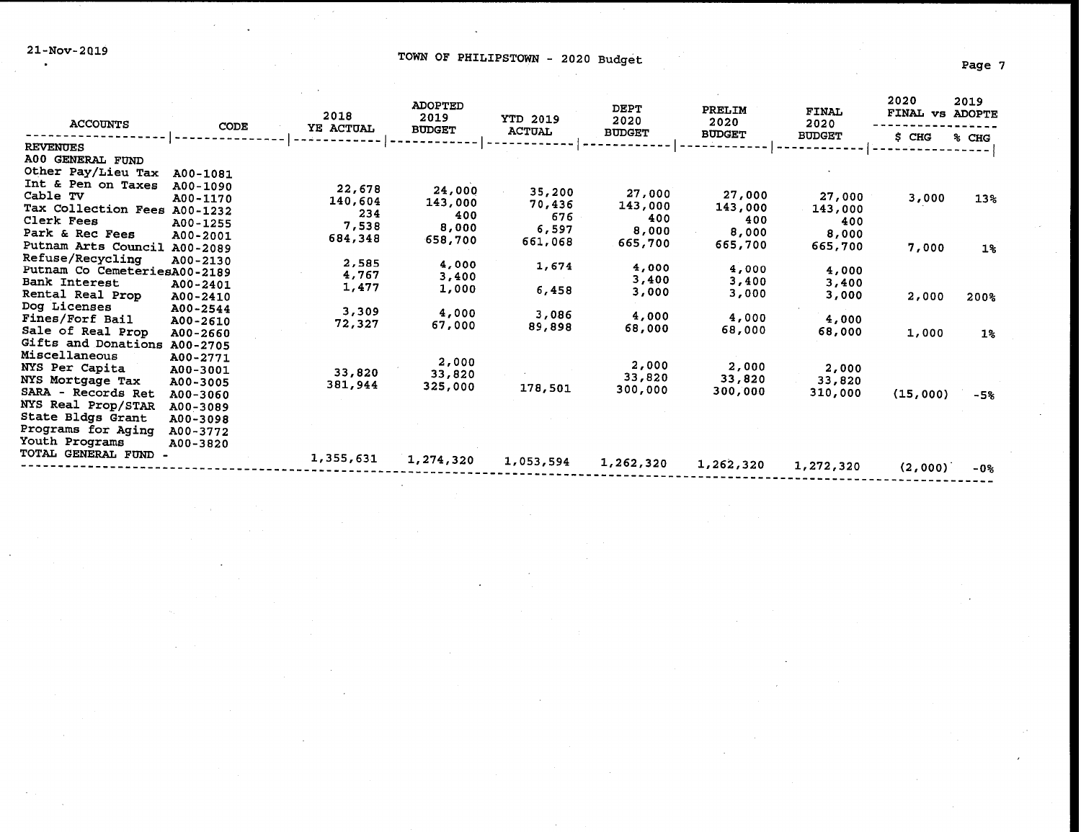21-Nov-2019 TOWN OF PHILIPSTOWN - 2020 Budget Page 7

| <b>ACCOUNTS</b>                          | CODE                 | 2018<br>YE ACTUAL | <b>ADOPTED</b><br>2019<br><b>BUDGET</b> | <b>YTD 2019</b><br><b>ACTUAL</b> | <b>DEPT</b><br>2020<br><b>BUDGET</b> | PRELIM<br>2020<br><b>BUDGET</b> | <b>FINAL</b><br>2020<br><b>BUDGET</b> | 2020<br>FINAL VS ADOPTE<br>\$ CHG | 2019<br>% CHG |
|------------------------------------------|----------------------|-------------------|-----------------------------------------|----------------------------------|--------------------------------------|---------------------------------|---------------------------------------|-----------------------------------|---------------|
| <b>REVENUES</b>                          |                      |                   |                                         |                                  |                                      |                                 |                                       |                                   |               |
| A00 GENERAL FUND                         |                      |                   |                                         |                                  |                                      |                                 |                                       |                                   |               |
| Other Pay/Lieu Tax<br>Int & Pen on Taxes | A00-1081             |                   |                                         |                                  |                                      |                                 |                                       |                                   |               |
| Cable TV                                 | A00-1090             | 22,678            | 24,000                                  | 35,200                           | 27,000                               | 27,000                          | 27,000                                |                                   |               |
| Tax Collection Fees                      | A00-1170             | 140,604           | 143,000                                 | 70,436                           | 143,000                              | 143,000                         | 143,000                               | 3,000                             | 13%           |
| Clerk Fees                               | A00-1232<br>A00-1255 | 234               | 400                                     | 676                              | 400                                  | 400                             | 400                                   |                                   |               |
| Park & Rec Fees                          | A00-2001             | 7,538             | 8,000                                   | 6,597                            | 8,000                                | 8,000                           | 8,000                                 |                                   |               |
| Putnam Arts Council                      | A00-2089             | 684,348           | 658,700                                 | 661,068                          | 665,700                              | 665,700                         | 665,700                               | 7,000                             | $1\%$         |
| Refuse/Recycling                         | A00-2130             |                   |                                         |                                  |                                      |                                 |                                       |                                   |               |
| Putnam Co CemeteriesA00-2189             |                      | 2,585<br>4,767    | 4,000                                   | 1,674                            | 4,000                                | 4,000                           | 4,000                                 |                                   |               |
| Bank Interest                            | A00-2401             | 1,477             | 3,400                                   |                                  | 3,400                                | 3,400                           | 3,400                                 |                                   |               |
| Rental Real Prop                         | A00-2410             |                   | 1,000                                   | 6,458                            | 3,000                                | 3,000                           | 3,000                                 | 2,000                             | 200%          |
| Dog Licenses                             | A00-2544             | 3,309             | 4,000                                   |                                  |                                      |                                 |                                       |                                   |               |
| Fines/Forf Bail                          | A00-2610             | 72,327            | 67,000                                  | 3,086<br>89,898                  | 4,000                                | 4,000                           | 4,000                                 |                                   |               |
| Sale of Real Prop                        | A00-2660             |                   |                                         |                                  | 68,000                               | 68,000                          | 68,000                                | 1,000                             | $1\%$         |
| Gifts and Donations A00-2705             |                      |                   |                                         |                                  |                                      |                                 |                                       |                                   |               |
| Miscellaneous                            | A00-2771             |                   | 2,000                                   |                                  | 2,000                                | 2,000                           |                                       |                                   |               |
| NYS Per Capita                           | A00-3001             | 33,820            | 33,820                                  |                                  | 33,820                               | 33,820                          | 2,000                                 |                                   |               |
| NYS Mortgage Tax<br>SARA - Records Ret   | A00-3005             | 381,944           | 325,000                                 | 178,501                          | 300,000                              | 300,000                         | 33,820                                |                                   |               |
| NYS Real Prop/STAR                       | A00-3060             |                   |                                         |                                  |                                      |                                 | 310,000                               | (15,000)                          | -5%           |
| State Bldgs Grant                        | A00-3089             |                   |                                         |                                  |                                      |                                 |                                       |                                   |               |
| Programs for Aging                       | A00-3098<br>A00-3772 |                   |                                         |                                  |                                      |                                 |                                       |                                   |               |
| Youth Programs                           | A00-3820             |                   |                                         |                                  |                                      |                                 |                                       |                                   |               |
| TOTAL GENERAL FUND -                     |                      |                   |                                         |                                  |                                      |                                 |                                       |                                   |               |
|                                          |                      | 1,355,631         | 1,274,320                               | 1,053,594                        | 1,262,320                            | 1,262,320                       | 1,272,320                             | (2,000)                           | -0%           |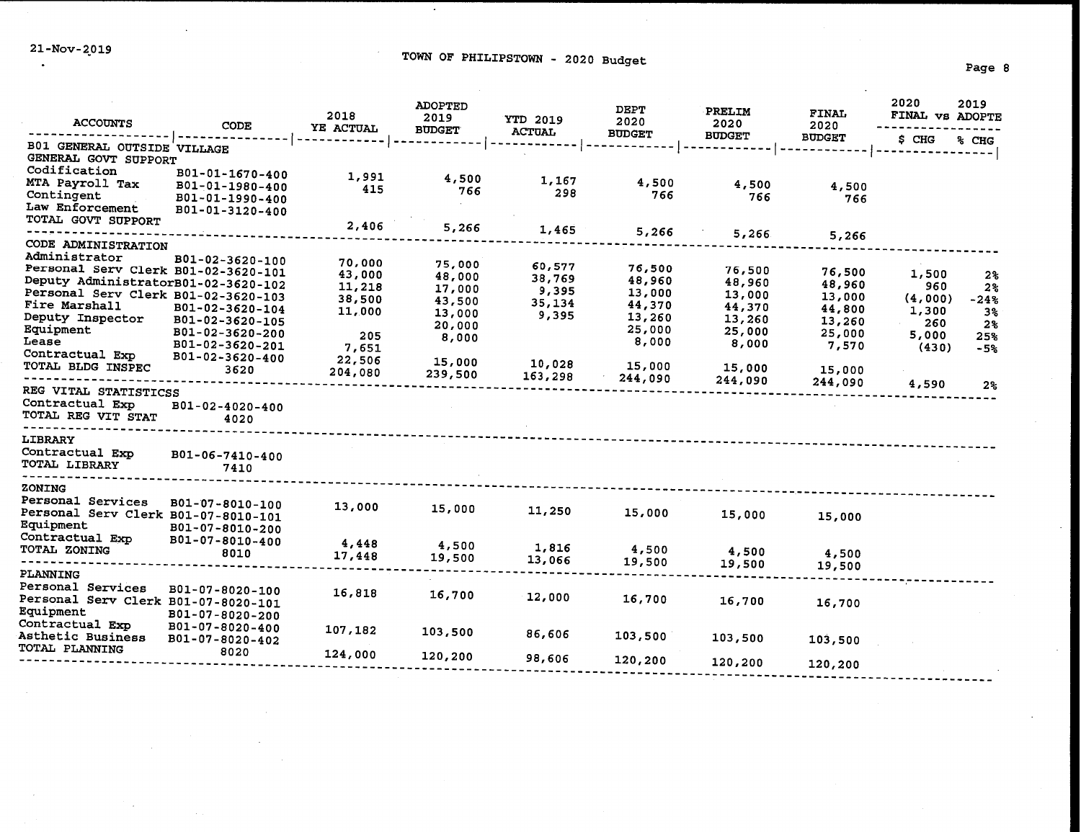$\sim$ 

 $\ddot{\phantom{a}}$ 

## TOWN OF PHILIPSTOWN - 2020 Budget Page 8

| <b>ACCOUNTS</b>                                     | <b>CODE</b>                        | 2018<br>YE ACTUAL | <b>ADOPTED</b><br>2019<br><b>BUDGET</b> | <b>YTD 2019</b><br><b>ACTUAL</b> | <b>DEPT</b><br>2020<br><b>BUDGET</b> | PRELIM<br>2020 | <b>FINAL</b><br>2020 | 2020<br>FINAL VS ADOPTE | 2019           |  |
|-----------------------------------------------------|------------------------------------|-------------------|-----------------------------------------|----------------------------------|--------------------------------------|----------------|----------------------|-------------------------|----------------|--|
|                                                     |                                    |                   |                                         |                                  |                                      | <b>BUDGET</b>  | <b>BUDGET</b>        | \$ CHG                  | % CHG          |  |
| B01 GENERAL OUTSIDE VILLAGE<br>GENERAL GOVT SUPPORT |                                    |                   |                                         |                                  |                                      |                |                      |                         |                |  |
| Codification                                        | B01-01-1670-400                    |                   |                                         |                                  |                                      |                |                      |                         |                |  |
| MTA Payroll Tax                                     | B01-01-1980-400                    | 1,991<br>415      | 4,500                                   | 1,167                            | 4,500                                | 4,500          | 4,500                |                         |                |  |
| Contingent                                          | B01-01-1990-400                    |                   | 766                                     | 298                              | 766                                  | 766            | 766                  |                         |                |  |
| Law Enforcement                                     | B01-01-3120-400                    |                   |                                         |                                  |                                      |                |                      |                         |                |  |
| TOTAL GOVT SUPPORT                                  |                                    | 2,406             | 5,266                                   | 1,465                            |                                      |                |                      |                         |                |  |
| CODE ADMINISTRATION                                 |                                    |                   |                                         |                                  | 5,266                                | 5,266          | 5,266                |                         |                |  |
| Administrator                                       |                                    |                   |                                         |                                  |                                      |                |                      |                         |                |  |
| Personal Serv Clerk B01-02-3620-101                 | B01-02-3620-100                    | 70,000            | 75,000                                  | 60,577                           | 76,500                               | 76,500         |                      |                         |                |  |
| Deputy AdministratorB01-02-3620-102                 |                                    | 43,000            | 48,000                                  | 38,769                           | 48,960                               | 48,960         | 76,500<br>48,960     | 1,500                   | 2 <sub>3</sub> |  |
| Personal Serv Clerk B01-02-3620-103                 |                                    | 11,218            | 17,000                                  | 9,395                            | 13,000                               | 13,000         | 13,000               | 960                     | 2 <sup>9</sup> |  |
| Fire Marshall                                       | B01-02-3620-104                    | 38,500            | 43,500                                  | 35,134                           | 44,370                               | 44,370         | 44,800               | (4,000)                 | $-24%$         |  |
| Deputy Inspector                                    | B01-02-3620-105                    | 11,000            | 13,000                                  | 9,395                            | 13,260                               | 13,260         | 13,260               | 1,300<br>260            | 3 <sup>o</sup> |  |
| Equipment                                           | B01-02-3620-200                    | 205               | 20,000                                  |                                  | 25,000                               | 25,000         | 25,000               | 5,000                   | 2%             |  |
| Lease                                               | B01-02-3620-201                    | 7,651             | 8,000                                   |                                  | 8,000                                | 8,000          | 7,570                | (430)                   | 25%<br>$-5%$   |  |
| Contractual Exp                                     | B01-02-3620-400                    | 22,506            | 15,000                                  |                                  |                                      |                |                      |                         |                |  |
| TOTAL BLDG INSPEC                                   | 3620                               | 204,080           | 239,500                                 | 10,028                           | 15,000                               | 15,000         | 15,000               |                         |                |  |
|                                                     |                                    |                   |                                         | 163,298                          | 244,090                              | 244,090        | 244,090              | 4,590                   | 2%             |  |
| REG VITAL STATISTICSS                               |                                    |                   |                                         |                                  |                                      |                |                      |                         |                |  |
| Contractual Exp<br>TOTAL REG VIT STAT               | B01-02-4020-400                    |                   |                                         |                                  |                                      |                |                      |                         |                |  |
|                                                     | 4020                               |                   |                                         |                                  |                                      |                |                      |                         |                |  |
| LIBRARY                                             |                                    |                   |                                         |                                  |                                      |                |                      |                         |                |  |
| Contractual Exp                                     | B01-06-7410-400                    |                   |                                         |                                  |                                      |                |                      |                         |                |  |
| TOTAL LIBRARY                                       | 7410                               |                   |                                         |                                  |                                      |                |                      |                         |                |  |
|                                                     |                                    |                   |                                         |                                  |                                      |                |                      |                         |                |  |
| ZONING<br>Personal Services                         |                                    |                   |                                         |                                  |                                      |                |                      |                         |                |  |
| Personal Serv Clerk B01-07-8010-101                 | B01-07-8010-100                    | 13,000            | 15,000                                  | 11,250                           | 15,000                               |                |                      |                         |                |  |
| Equipment                                           |                                    |                   |                                         |                                  |                                      | 15,000         | 15,000               |                         |                |  |
| Contractual Exp                                     | B01-07-8010-200<br>B01-07-8010-400 |                   |                                         |                                  |                                      |                |                      |                         |                |  |
| TOTAL ZONING                                        | 8010                               | 4,448             | 4,500                                   | 1,816                            | 4,500                                | 4,500          | 4,500                |                         |                |  |
|                                                     |                                    | 17,448            | 19,500                                  | 13,066                           | 19,500                               | 19,500         | 19,500               |                         |                |  |
| PLANNING                                            |                                    |                   |                                         |                                  |                                      |                |                      |                         |                |  |
| Personal Services                                   | B01-07-8020-100                    | 16,818            | 16,700                                  |                                  |                                      |                |                      |                         |                |  |
| Personal Serv Clerk B01-07-8020-101                 |                                    |                   |                                         | 12,000                           | 16,700                               | 16,700         | 16,700               |                         |                |  |
| Equipment                                           | B01-07-8020-200                    |                   |                                         |                                  |                                      |                |                      |                         |                |  |
| Contractual Exp                                     | B01-07-8020-400                    | 107,182           | 103,500                                 | 86,606                           |                                      |                |                      |                         |                |  |
| <b>Asthetic Business</b>                            | B01-07-8020-402                    |                   |                                         |                                  | 103,500                              | 103,500        | 103,500              |                         |                |  |
| TOTAL PLANNING                                      | 8020                               | 124,000           | 120,200                                 | 98,606                           | 120,200                              |                |                      |                         |                |  |
|                                                     |                                    |                   |                                         |                                  |                                      | 120,200        | 120,200              |                         |                |  |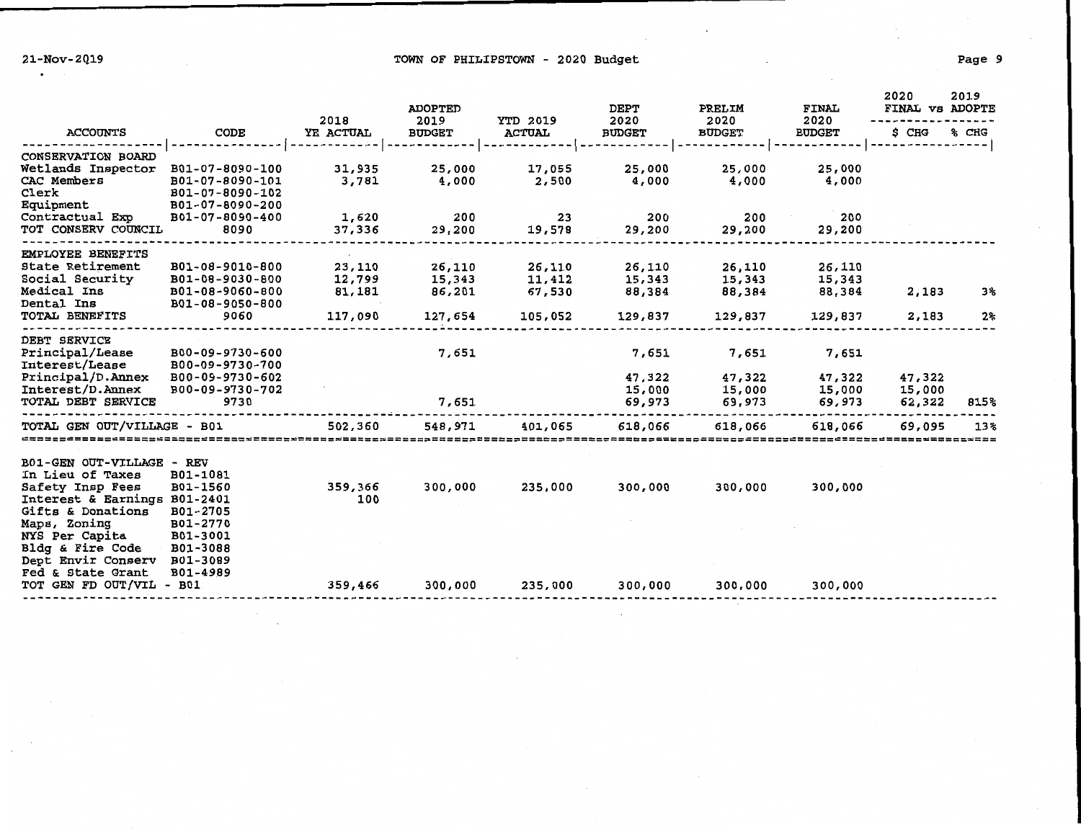21-Nov-2019 2010 1000 1000 2020 2020 Budget Page 9

|                                        |                                    | 2018            | <b>ADOPTED</b><br>2019 | <b>YTD 2019</b> | <b>DEPT</b><br>2020 | PRELIM<br>2020   | <b>FINAL</b><br>2020 | 2020<br>FINAL VS ADOPTE | 2019  |
|----------------------------------------|------------------------------------|-----------------|------------------------|-----------------|---------------------|------------------|----------------------|-------------------------|-------|
| <b>ACCOUNTS</b>                        | CODE                               | YE ACTUAL       | <b>BUDGET</b>          | <b>ACTUAL</b>   | <b>BUDGET</b>       | <b>BUDGET</b>    | <b>BUDGET</b>        | \$ CHG                  | % CHG |
| <b>CONSERVATION BOARD</b>              |                                    |                 |                        |                 |                     |                  |                      |                         |       |
| Wetlands Inspector                     | B01-07-8090-100                    | 31,935          | 25,000                 | 17,055          | 25,000              | 25,000           | 25,000               |                         |       |
| <b>CAC Members</b>                     | B01-07-8090-101                    | 3,781           | 4,000                  | 2,500           | 4,000               | 4,000            | 4,000                |                         |       |
| Clerk                                  | B01-07-8090-102                    |                 |                        |                 |                     |                  |                      |                         |       |
| Equipment                              | B01-07-8090-200                    |                 |                        |                 |                     |                  |                      |                         |       |
| Contractual Exp<br>TOT CONSERV COUNCIL | B01-07-8090-400<br>8090            | 1,620<br>37,336 | 200<br>29,200          | 23<br>19,578    | 200<br>29,200       | 200<br>29,200    | 200<br>29,200        |                         |       |
|                                        |                                    |                 |                        |                 |                     |                  |                      |                         |       |
| <b>EMPLOYEE BENEFITS</b>               |                                    |                 |                        |                 |                     |                  |                      |                         |       |
| <b>State Retirement</b>                | B01-08-9010-800                    | 23,110          | 26,110                 | 26,110          | 26,110              | 26,110           | 26,110               |                         |       |
| Social Security                        | B01-08-9030-800                    | 12,799          | 15,343                 | 11,412          | 15,343              | 15,343           | 15,343               |                         |       |
| Medical Ins                            | B01-08-9060-800                    | 81,181          | 86,201                 | 67,530          | 88,384              | 88,384           | 88,384               | 2,183                   | 3%    |
| Dental Ins<br><b>TOTAL BENEFITS</b>    | B01-08-9050-800<br>9060            | 117,090         | 127,654                | 105,052         | 129,837             | 129,837          | 129,837              | 2,183                   | 2%    |
|                                        |                                    |                 |                        |                 |                     |                  |                      |                         |       |
| <b>DEBT SERVICE</b>                    |                                    |                 |                        |                 |                     |                  |                      |                         |       |
| Principal/Lease                        | B00-09-9730-600                    |                 | 7,651                  |                 | 7,651               | 7,651            | 7,651                |                         |       |
| <b>Interest/Lease</b>                  | B00-09-9730-700                    |                 |                        |                 |                     |                  |                      |                         |       |
| Principal/D.Annex<br>Interest/D.Annex  | B00-09-9730-602<br>B00-09-9730-702 |                 |                        |                 | 47,322              | 47,322           | 47,322               | 47,322                  |       |
| TOTAL DEBT SERVICE                     | 9730                               |                 | 7,651                  |                 | 15,000<br>69,973    | 15,000<br>69,973 | 15,000<br>69,973     | 15,000<br>62,322        | 815%  |
|                                        |                                    |                 |                        |                 |                     |                  |                      |                         |       |
| TOTAL GEN OUT/VILLAGE - B01            |                                    | 502,360         | 548,971                | 401,065         | 618,066             | 618,066          | 618,066              | 69,095                  | 13%   |
| ====================================== |                                    |                 |                        |                 |                     |                  |                      |                         |       |
| <b>B01-GEN OUT-VILLAGE - REV</b>       |                                    |                 |                        |                 |                     |                  |                      |                         |       |
| In Lieu of Taxes                       | B01-1081                           |                 |                        |                 |                     |                  |                      |                         |       |
| Safety Insp Fees                       | B01-1560                           | 359,366         | 300,000                | 235,000         | 300,000             | 300,000          | 300,000              |                         |       |
| Interest & Earnings B01-2401           |                                    | 100             |                        |                 |                     |                  |                      |                         |       |
| Gifts & Donations                      | B01-2705                           |                 |                        |                 |                     |                  |                      |                         |       |
| Maps, Zoning<br>NYS Per Capita         | B01-2770<br>B01-3001               |                 |                        |                 |                     |                  |                      |                         |       |
| <b>Bldg &amp; Fire Code</b>            | B01-3088                           |                 |                        |                 |                     |                  |                      |                         |       |
| Dept Envir Conserv                     | B01-3089                           |                 |                        |                 |                     |                  |                      |                         |       |
| <b>Fed &amp; State Grant</b>           | B01-4989                           |                 |                        |                 |                     |                  |                      |                         |       |
| TOT GEN FD OUT/VIL - B01               |                                    | 359,466         | 300,000                | 235,000         | 300,000             | 300,000          | 300,000              |                         |       |
|                                        |                                    |                 |                        |                 |                     |                  |                      |                         |       |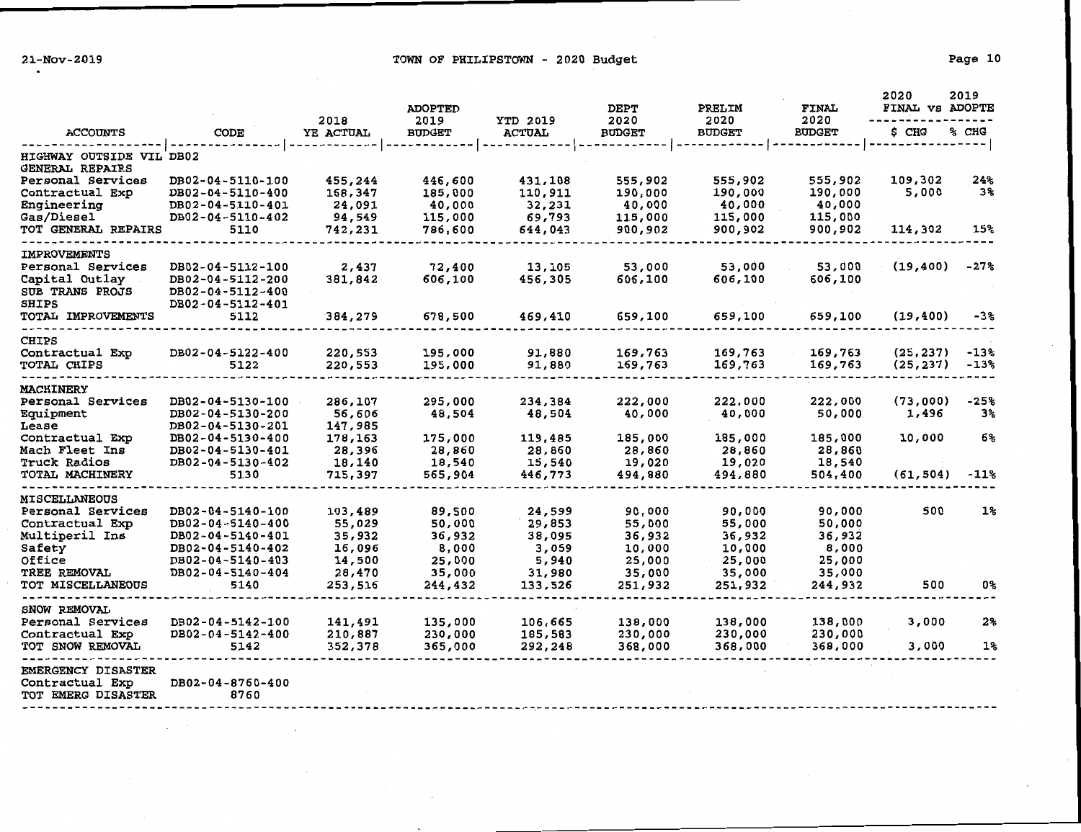| <b>ACCOUNTS</b>                                                    |                                      | 2018      | <b>ADOPTED</b><br>2019<br><b>BUDGET</b> | <b>YTD 2019</b> | <b>DEPT</b><br>2020 | PRELIM<br>2020 | <b>FINAL</b><br>2020 | 2020<br>FINAL VS ADOPTE | 2019   |
|--------------------------------------------------------------------|--------------------------------------|-----------|-----------------------------------------|-----------------|---------------------|----------------|----------------------|-------------------------|--------|
|                                                                    | CODE                                 | YE ACTUAL |                                         | <b>ACTUAL</b>   | <b>BUDGET</b>       | <b>BUDGET</b>  | <b>BUDGET</b>        | \$ CHG                  | % CHG  |
| HIGHWAY OUTSIDE VIL DB02<br>GENERAL REPAIRS                        |                                      |           |                                         |                 |                     |                |                      |                         |        |
| Personal Services                                                  | DB02-04-5110-100                     | 455,244   | 446,600                                 | 431,108         | 555,902             | 555,902        | 555,902              | 109,302                 | 24%    |
| Contractual Exp                                                    | DB02-04-5110-400                     | 168,347   | 185,000                                 | 110,911         | 190,000             | 190,000        | 190,000              | 5,000                   | 3%     |
| Engineering                                                        | DB02-04-5110-401                     | 24,091    | 40,000                                  | 32,231          | 40,000              | 40,000         | 40,000               |                         |        |
| Gas/Diesel                                                         | DB02-04-5110-402                     | 94,549    | 115,000                                 | 69,793          | 115,000             | 115,000        | 115,000              |                         |        |
| TOT GENERAL REPAIRS                                                | 5110                                 | 742,231   | 786,600                                 | 644,043         | 900,902             | 900,902        | 900,902              | 114,302                 | 15%    |
| <b>IMPROVEMENTS</b>                                                |                                      |           |                                         |                 |                     |                |                      |                         |        |
| Personal Services                                                  | DB02-04-5112-100                     | 2,437     | 72,400                                  | 13,105          | 53,000              | 53,000         | 53,000               | (19, 400)               | -27%   |
| Capital Outlay                                                     | DB02-04-5112-200                     | 381,842   | 606,100                                 | 456,305         | 606,100             | 606,100        | 606,100              |                         |        |
| SUB TRANS PROJS<br>SHIPS                                           | DB02-04-5112-400<br>DB02-04-5112-401 |           |                                         |                 |                     |                |                      |                         |        |
| TOTAL IMPROVEMENTS                                                 | 5112                                 | 384,279   | 678,500                                 | 469,410         | 659,100             | 659,100        | 659,100              | (19, 400)               | -3%    |
|                                                                    |                                      |           |                                         |                 |                     |                |                      |                         |        |
| <b>CHIPS</b><br>Contractual Exp                                    | DB02-04-5122-400                     | 220,553   | 195,000                                 | 91,880          | 169,763             | 169,763        | 169,763              | (25, 237)               | -13%   |
| TOTAL CHIPS                                                        | 5122                                 | 220,553   | 195,000                                 | 91,880          | 169,763             | 169,763        | 169,763              | (25, 237)               | -13%   |
|                                                                    |                                      |           |                                         |                 |                     |                |                      |                         |        |
| <b>MACHINERY</b><br>Personal Services                              | DB02-04-5130-100                     | 286,107   | 295,000                                 | 234,384         | 222,000             | 222,000        | 222,000              | (73,000)                | $-25%$ |
| Equipment                                                          | DB02-04-5130-200                     | 56,606    | 48,504                                  | 48,504          | 40,000              | 40,000         | 50,000               | 1,496                   | 3%     |
| Lease                                                              | DB02-04-5130-201                     | 147,985   |                                         |                 |                     |                |                      |                         |        |
| Contractual Exp                                                    | DB02-04-5130-400                     | 178,163   | 175,000                                 | 119,485         | 185,000             | 185,000        | 185,000              | 10,000                  | 6%     |
| Mach Fleet Ins                                                     | DB02-04-5130-401                     | 28,396    | 28,860                                  | 28,860          | 28,860              | 28,860         | 28,860               |                         |        |
| Truck Radios                                                       | DB02-04-5130-402                     | 18,140    | 18,540                                  | 15,540          | 19,020              | 19,020         | 18,540               |                         |        |
| TOTAL MACHINERY                                                    | 5130                                 | 715,397   | 565,904                                 | 446,773         | 494,880             | 494,880        | 504,400              | (61, 504)               | $-11%$ |
| <b>MISCELLANEOUS</b>                                               |                                      |           |                                         |                 |                     |                |                      |                         |        |
| Personal Services                                                  | DB02-04-5140-100                     | 103,489   | 89,500                                  | 24,599          | 90,000              | 90,000         | 90,000               | 500                     | $1\%$  |
| Contractual Exp                                                    | DB02-04-5140-400                     | 55,029    | 50,000                                  | 29,853          | 55,000              | 55,000         | 50,000               |                         |        |
| Multiperil Ins                                                     | DB02-04-5140-401                     | 35,932    | 36,932                                  | 38,095          | 36,932              | 36,932         | 36,932               |                         |        |
| Safety                                                             | DB02-04-5140-402                     | 16,096    | 8,000                                   | 3,059           | 10,000              | 10,000         | 8,000                |                         |        |
| Office                                                             | DB02-04-5140-403                     | 14,500    | 25,000                                  | 5,940           | 25,000              | 25,000         | 25,000               |                         |        |
| <b>TREE REMOVAL</b>                                                | DB02-04-5140-404                     | 28,470    | 35,000                                  | 31,980          | 35,000              | 35,000         | 35,000               |                         |        |
| TOT MISCELLANEOUS                                                  | 5140                                 | 253,516   | 244,432                                 | 133,526         | 251,932             | 251,932        | 244,932              | 500                     | 0%     |
| SNOW REMOVAL                                                       |                                      |           |                                         |                 |                     |                |                      |                         |        |
| Personal Services                                                  | DB02-04-5142-100                     | 141,491   | 135,000                                 | 106,665         | 138,000             | 138,000        | 138,000              | 3,000                   | 2%     |
| Contractual Exp                                                    | DB02-04-5142-400                     | 210,887   | 230,000                                 | 185,583         | 230,000             | 230,000        | 230,000              |                         |        |
| TOT SNOW REMOVAL                                                   | 5142                                 | 352,378   | 365,000                                 | 292,248         | 368,000             | 368,000        | 368,000              | 3,000                   | 1%     |
| <b>EMERGENCY DISASTER</b><br>Contractual Exp<br>TOT EMERG DISASTER | DB02-04-8760-400<br>8760             |           |                                         |                 |                     |                |                      |                         |        |
|                                                                    |                                      |           |                                         |                 |                     |                |                      |                         |        |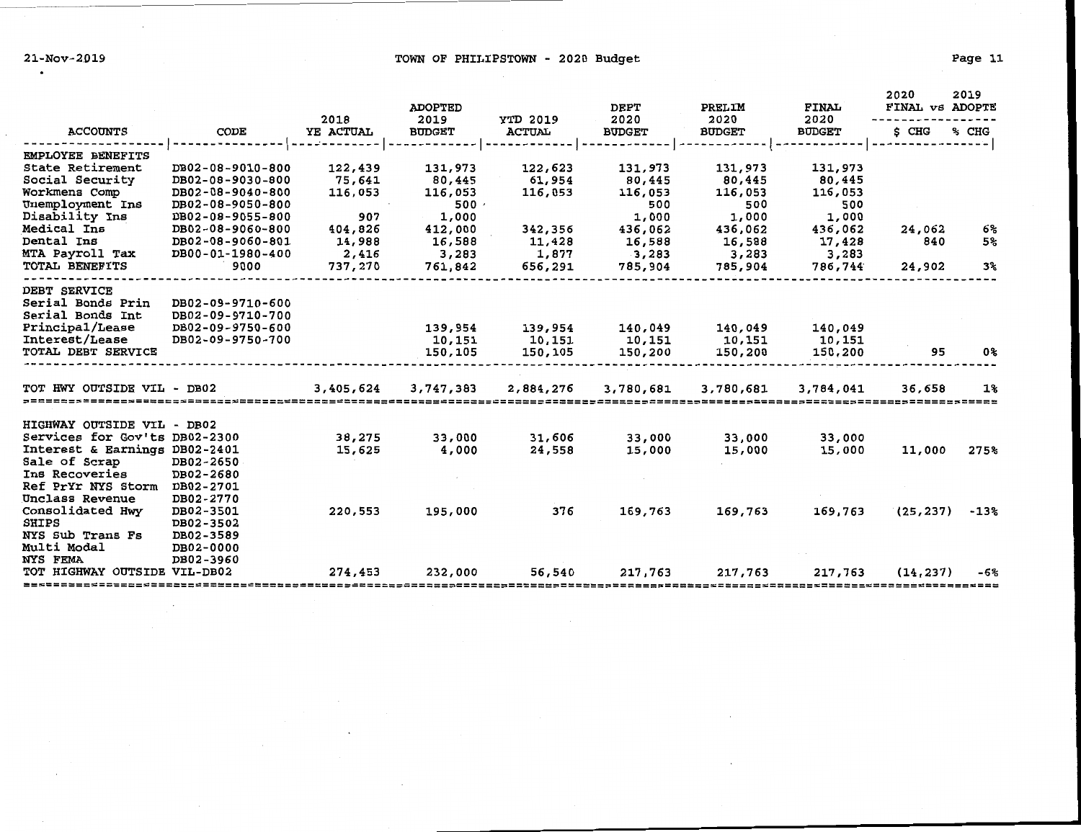$\sim$ 

 $\mathcal{A}$ 

 $\sim$ 

## 21-Nov-2019 Page 11 COWN OF PHILIPSTOWN - 2020 Budget

|                               |                  |           | <b>ADOPTED</b> |                 | DEPT          | PRELIM        | FINAL         | 2020<br>FINAL VS ADOPTE | 2019           |
|-------------------------------|------------------|-----------|----------------|-----------------|---------------|---------------|---------------|-------------------------|----------------|
|                               |                  | 2018      | 2019           | <b>YTD 2019</b> | 2020          | 2020          | 2020          |                         |                |
| <b>ACCOUNTS</b>               | CODE             | YE ACTUAL | <b>BUDGET</b>  | <b>ACTUAL</b>   | <b>BUDGET</b> | <b>BUDGET</b> | <b>BUDGET</b> | \$ CHG                  | % CHG          |
| EMPLOYEE BENEFITS             |                  |           |                |                 |               |               |               |                         |                |
| State Retirement              | DB02-08-9010-800 | 122,439   | 131,973        | 122,623         | 131,973       | 131,973       | 131,973       |                         |                |
| Social Security               | DB02-08-9030-800 | 75,641    | 80,445         | 61,954          | 80,445        | 80,445        | 80,445        |                         |                |
| Workmens Comp                 | DB02-08-9040-800 | 116,053   | 116,053        | 116,053         | 116,053       | 116,053       | 116,053       |                         |                |
| Unemployment Ins              | DB02-08-9050-800 |           | 500            |                 | 500           | 500           | 500           |                         |                |
| Disability Ins                | DB02-08-9055-800 | 907       | 1,000          |                 | 1,000         | 1,000         | 1,000         |                         |                |
| Medical Ins                   | DB02-08-9060-800 | 404,826   | 412,000        | 342,356         | 436,062       | 436,062       | 436,062       | 24,062                  | 6%             |
| Dental Ins                    | DB02-08-9060-801 | 14,988    | 16,588         | 11,428          | 16,588        | 16,588        | 17,428        | 840                     | 5 <sup>°</sup> |
| MTA Payroll Tax               | DB00-01-1980-400 | 2,416     | 3,283          | 1,877           | 3,283         | 3,283         | 3,283         |                         |                |
| TOTAL BENEFITS                | 9000             | 737,270   | 761,842        | 656,291         | 785,904       | 785,904       | 786,744       | 24,902                  | 3%             |
| DEBT SERVICE                  |                  |           |                |                 |               |               |               |                         |                |
| Serial Bonds Prin             | DB02-09-9710-600 |           |                |                 |               |               |               |                         |                |
| Serial Bonds Int              | DB02-09-9710-700 |           |                |                 |               |               |               |                         |                |
| Principal/Lease               | DB02-09-9750-600 |           | 139,954        | 139,954         | 140,049       | 140,049       | 140,049       |                         |                |
| Interest/Lease                | DB02-09-9750-700 |           | 10,151         | 10,151          | 10,151        | 10,151        | 10,151        |                         |                |
| TOTAL DEBT SERVICE            |                  |           | 150,105        | 150,105         | 150,200       | 150,200       | 150,200       | 95                      | 0%             |
| TOT HWY OUTSIDE VIL - DB02    |                  | 3,405,624 | 3,747,383      | 2,884,276       | 3,780,681     | 3,780,681     | 3,784,041     | 36,658                  | 1%             |
|                               |                  |           |                |                 |               |               |               |                         |                |
| HIGHWAY OUTSIDE VIL - DB02    |                  |           |                |                 |               |               |               |                         |                |
| Services for Gov'ts DB02-2300 |                  | 38,275    | 33,000         | 31,606          | 33,000        | 33,000        | 33,000        |                         |                |
| Interest & Earnings DB02-2401 |                  | 15,625    | 4,000          | 24,558          | 15,000        | 15,000        | 15,000        | 11,000                  | 275%           |
| Sale of Scrap                 | DB02-2650        |           |                |                 |               |               |               |                         |                |
| Ins Recoveries                | DB02-2680        |           |                |                 |               |               |               |                         |                |
| Ref PrYr NYS Storm            | DB02-2701        |           |                |                 |               |               |               |                         |                |
| Unclass Revenue               | DB02-2770        |           |                |                 |               |               |               |                         |                |
| Consolidated Hwy              | DB02-3501        | 220,553   | 195,000        | 376             | 169,763       | 169,763       | 169,763       | (25, 237)               | $-13%$         |
| <b>SHIPS</b>                  | DB02-3502        |           |                |                 |               |               |               |                         |                |
| NYS Sub Trans Fs              | DB02-3589        |           |                |                 |               |               |               |                         |                |
| Multi Modal                   | DB02-0000        |           |                |                 |               |               |               |                         |                |
| NYS FEMA                      | DB02-3960        |           |                |                 |               |               |               |                         |                |
| TOT HIGHWAY OUTSIDE VIL-DB02  |                  | 274,453   | 232,000        | 56,540          | 217,763       | 217,763       | 217,763       | (14, 237)               | -6%            |
|                               |                  |           |                |                 |               |               |               |                         |                |

 $\sim$ 

 $\cdot$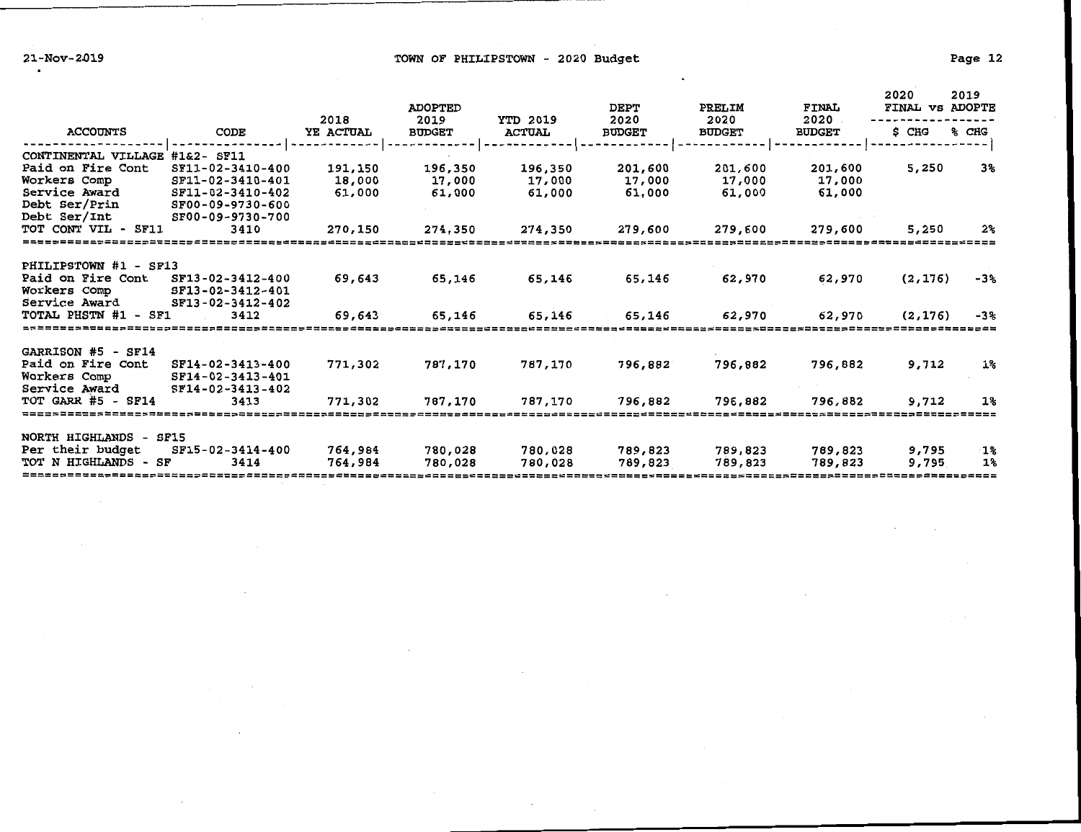21-Nov-2019 **Example 2018** TOWN OF PHILIPSTOWN - 2020 Budget

 $\ddot{\phantom{1}}$ 

|                        |                  |                   | <b>ADOPTED</b>        |                                  | <b>DEPT</b>           | PRELIM                | FINAL                 | 2020<br>FINAL VS ADOPTE | 2019  |
|------------------------|------------------|-------------------|-----------------------|----------------------------------|-----------------------|-----------------------|-----------------------|-------------------------|-------|
| <b>ACCOUNTS</b>        | CODE             | 2018<br>YE ACTUAL | 2019<br><b>BUDGET</b> | <b>YTD 2019</b><br><b>ACTUAL</b> | 2020<br><b>BUDGET</b> | 2020<br><b>BUDGET</b> | 2020<br><b>BUDGET</b> | \$ CHG                  | % CHG |
| CONTINENTAL VILLAGE    | #1&2- SF11       |                   |                       |                                  |                       |                       |                       |                         |       |
| Paid on Fire Cont      | SF11-02-3410-400 | 191,150           | 196,350               | 196,350                          | 201,600               | 201,600               | 201,600               | 5,250                   | 3%    |
| Workers Comp           | SF11-02-3410-401 | 18,000            | 17,000                | 17,000                           | 17,000                | 17,000                | 17,000                |                         |       |
| Service Award          | SF11-02-3410-402 | 61,000            | 61,000                | 61,000                           | 61,000                | 61,000                | 61,000                |                         |       |
| Debt Ser/Prin          | SF00-09-9730-600 |                   |                       |                                  |                       |                       |                       |                         |       |
| Debt Ser/Int           | SF00-09-9730-700 |                   |                       |                                  |                       |                       |                       |                         |       |
| TOT CONT VIL - SF11    | 3410             | 270,150           | 274,350               | 274,350                          | 279,600               | 279,600               | 279,600               | 5,250                   | 2%    |
|                        |                  |                   |                       |                                  |                       |                       |                       |                         |       |
| PHILIPSTOWN #1 - SF13  |                  |                   |                       |                                  |                       |                       |                       |                         |       |
| Paid on Fire Cont      | SF13-02-3412-400 | 69,643            | 65,146                | 65,146                           | 65,146                | 62,970                | 62,970                | (2, 176)                | -3%   |
| Workers Comp           | SF13-02-3412-401 |                   |                       |                                  |                       |                       |                       |                         |       |
| Service Award          | SF13-02-3412-402 |                   |                       |                                  |                       |                       |                       |                         |       |
| TOTAL PHSTN #1 - SF1   | 3412             | 69,643            | 65,146                | 65,146                           | 65,146                | 62,970                | 62,970                | (2, 176)                | $-3%$ |
|                        |                  |                   |                       |                                  |                       |                       |                       |                         |       |
| GARRISON #5 - SF14     |                  |                   |                       |                                  |                       |                       |                       |                         |       |
| Paid on Fire Cont      | SF14-02-3413-400 | 771,302           | 787,170               | 787,170                          | 796,882               | 796,882               | 796,882               | 9,712                   | $1\%$ |
| Workers Comp           | SF14-02-3413-401 |                   |                       |                                  |                       |                       |                       |                         |       |
| Service Award          | SF14-02-3413-402 |                   |                       |                                  |                       |                       |                       |                         |       |
| TOT GARR $#5$ - SF14   | 3413             | 771,302           | 787,170               | 787,170                          | 796,882               | 796,882               | 796,882               | 9,712                   | $1\%$ |
|                        |                  |                   |                       |                                  |                       |                       |                       |                         |       |
|                        |                  |                   |                       |                                  |                       |                       |                       |                         |       |
| NORTH HIGHLANDS - SF15 |                  |                   |                       |                                  |                       |                       |                       |                         |       |
| Per their budget       | SF15-02-3414-400 | 764,984           | 780,028               | 780,028                          | 789,823               | 789,823               | 789,823               | 9,795                   | ึ 1%  |
| TOT N HIGHLANDS - SF   | 3414             | 764,984           | 780,028               | 780,028                          | 789,823               | 789,823               | 789,823               | 9,795                   | 1%    |
|                        |                  |                   |                       |                                  |                       |                       |                       |                         |       |

 $\mathcal{L}_{\mathcal{A}}$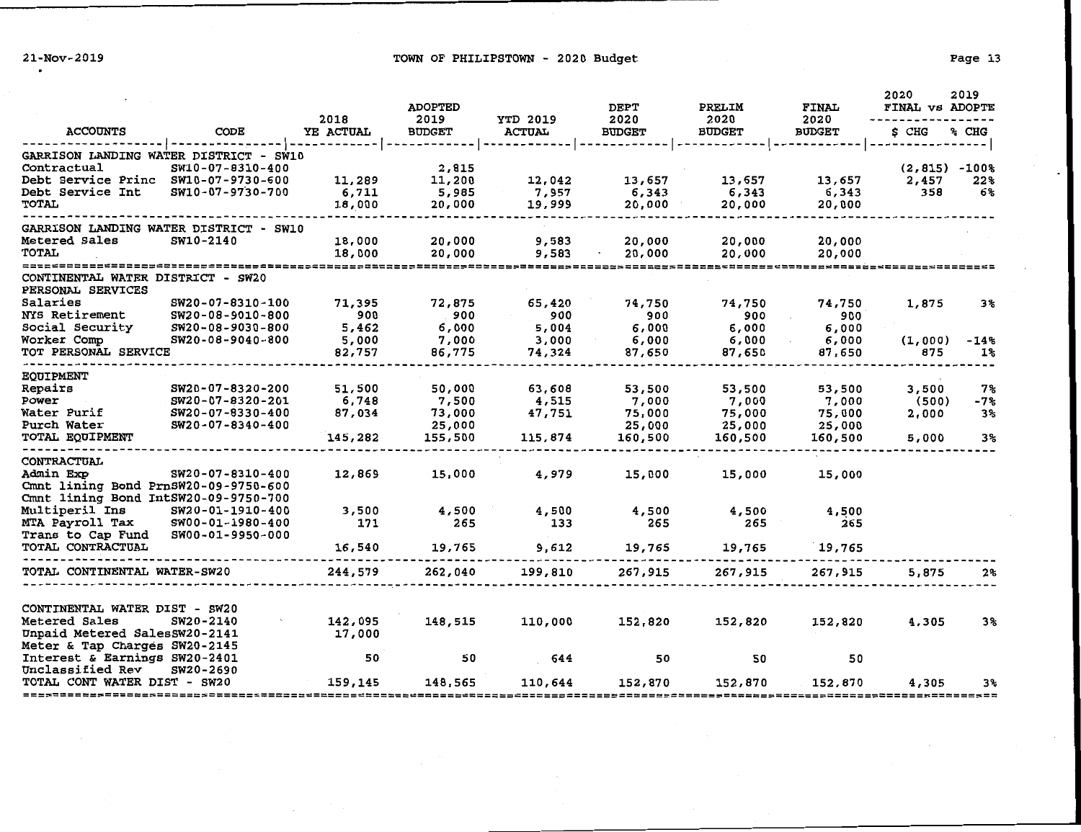21-Nov-2019 **TOWN OF PHILIPSTOWN** - 2020 Budget

| Pace |  |
|------|--|
|------|--|

|                                                        |                  |                   | <b>ADOPTED</b>        |                                  | DEPT                  | PRELIM                | <b>FINAL</b>          | 2020<br>FINAL VS ADOPTE | 2019  |
|--------------------------------------------------------|------------------|-------------------|-----------------------|----------------------------------|-----------------------|-----------------------|-----------------------|-------------------------|-------|
| <b>ACCOUNTS</b>                                        | CODE             | 2018<br>YE ACTUAL | 2019<br><b>BUDGET</b> | <b>YTD 2019</b><br><b>ACTUAL</b> | 2020<br><b>BUDGET</b> | 2020<br><b>BUDGET</b> | 2020<br><b>BUDGET</b> | \$CHG                   | % CHG |
|                                                        | . <b>.</b>       |                   |                       |                                  |                       | -------               |                       |                         |       |
| <b>GARRISON LANDING WATER DISTRICT - SW10</b>          |                  |                   |                       |                                  |                       |                       |                       |                         |       |
| Contractual                                            | SW10-07-8310-400 |                   | 2,815                 |                                  |                       |                       |                       | $(2,815) - 100%$        |       |
| Debt Service Princ SW10-07-9730-600                    |                  | 11,289            | 11,200                | 12,042                           | 13,657                | 13,657                | 13,657                | 2,457<br>358            | 22%   |
| Debt Service Int                                       | SW10-07-9730-700 | 6,711             | 5,985                 | 7,957                            | 6,343<br>20,000       | 6,343<br>20,000       | 6,343<br>20,000       |                         | 6%    |
| <b>TOTAL</b>                                           |                  | 18,000            | 20,000                | 19,999                           |                       |                       |                       |                         |       |
| GARRISON LANDING WATER DISTRICT - SW10                 |                  |                   |                       |                                  |                       |                       |                       |                         |       |
| Metered Sales                                          | SW10-2140        | 18,000            | 20,000                | 9,583                            | 20,000                | 20,000                | 20,000                |                         |       |
| <b>TOTAL</b>                                           |                  | 18,000            | 20,000                | 9,583                            | 20,000                | 20,000                | 20,000                |                         |       |
|                                                        |                  |                   |                       |                                  |                       |                       |                       |                         |       |
| CONTINENTAL WATER DISTRICT - SW20<br>PERSONAL SERVICES |                  |                   |                       |                                  |                       |                       |                       |                         |       |
| Salaries                                               | SW20-07-8310-100 | 71,395            | 72,875                | 65,420                           | 74,750                | 74,750                | 74,750                | 1,875                   | 3%    |
| <b>NYS Retirement</b>                                  | SW20-08-9010-800 | 900               | 900                   | 900                              | 900                   | 900                   | 900                   |                         |       |
| Social Security                                        | SW20-08-9030-800 | 5,462             | 6,000                 | 5,004                            | 6,000                 | 6,000                 | 6,000                 |                         |       |
| Worker Comp                                            | SW20-08-9040-800 | 5,000             | 7,000                 | 3,000                            | 6,000                 | 6,000                 | 6,000                 | (1,000)                 | -14%  |
| TOT PERSONAL SERVICE                                   |                  | 82,757            | 86,775                | 74,324                           | 87,650                | 87,650                | 87,650                | 875                     | 1%    |
|                                                        |                  |                   |                       |                                  |                       |                       |                       |                         |       |
| <b>EOUIPMENT</b><br>Repairs                            | SW20-07-8320-200 | 51,500            | 50,000                | 63,608                           | 53,500                | 53,500                | 53,500                | 3,500                   | 7%    |
| Power                                                  | SW20-07-8320-201 | 6,748             | 7,500                 | 4,515                            | 7,000                 | 7,000                 | 7,000                 | (500)                   | -7%   |
| Water Purif                                            | SW20-07-8330-400 | 87,034            | 73,000                | 47,751                           | 75,000                | 75,000                | 75,000                | 2,000                   | 3%    |
| Purch Water                                            | SW20-07-8340-400 |                   | 25,000                |                                  | 25,000                | 25,000                | 25,000                |                         |       |
| TOTAL EQUIPMENT                                        |                  | 145,282           | 155,500               | 115,874                          | 160,500               | 160,500               | 160,500               | 5,000                   | 3%    |
|                                                        |                  |                   |                       |                                  |                       |                       |                       |                         |       |
| <b>CONTRACTUAL</b>                                     |                  |                   |                       |                                  |                       |                       |                       |                         |       |
| Admin Exp                                              | SW20-07-8310-400 | 12,869            | 15,000                | 4,979                            | 15,000                | 15,000                | 15,000                |                         |       |
| Cmnt lining Bond PrnSW20-09-9750-600                   |                  |                   |                       |                                  |                       |                       |                       |                         |       |
| Cmnt lining Bond IntSW20-09-9750-700                   |                  |                   |                       |                                  |                       |                       |                       |                         |       |
| Multiperil Ins                                         | SW20-01-1910-400 | 3,500             | 4,500                 | 4,500                            | 4,500                 | 4,500                 | 4,500                 |                         |       |
| MTA Payroll Tax                                        | SW00-01-1980-400 | 171               | 265                   | 133                              | 265                   | 265                   | 265                   |                         |       |
| Trans to Cap Fund                                      | SW00-01-9950-000 |                   |                       |                                  |                       |                       |                       |                         |       |
| TOTAL CONTRACTUAL                                      |                  | 16,540            | 19,765                | 9,612                            | 19,765                | 19,765                | 19,765                |                         |       |
| TOTAL CONTINENTAL WATER-SW20                           |                  | 244,579           | 262,040               | 199,810                          | 267,915               | 267,915               | 267,915               | 5,875                   | 2%    |
|                                                        |                  |                   |                       |                                  |                       |                       |                       |                         |       |
| CONTINENTAL WATER DIST - SW20                          |                  |                   |                       |                                  |                       |                       |                       |                         |       |
| Metered Sales                                          | SW20-2140        | 142,095           | 148,515               | 110,000                          | 152,820               | 152,820               | 152,820               | 4,305                   | 3%    |
| Unpaid Metered SalesSW20-2141                          |                  | 17,000            |                       |                                  |                       |                       |                       |                         |       |
| Meter & Tap Charges SW20-2145                          |                  |                   |                       |                                  |                       |                       |                       |                         |       |
| Interest & Earnings SW20-2401                          |                  | 50                | 50                    | 644                              | 50                    | 50                    | 50                    |                         |       |
| Unclassified Rev                                       | SW20-2690        |                   |                       |                                  |                       |                       |                       |                         |       |
| TOTAL CONT WATER DIST - SW20                           |                  | 159,145           | 148,565               | 110,644                          | 152,870               | 152,870               | 152,870               | 4,305                   | 3%    |
|                                                        |                  |                   |                       |                                  |                       |                       |                       |                         |       |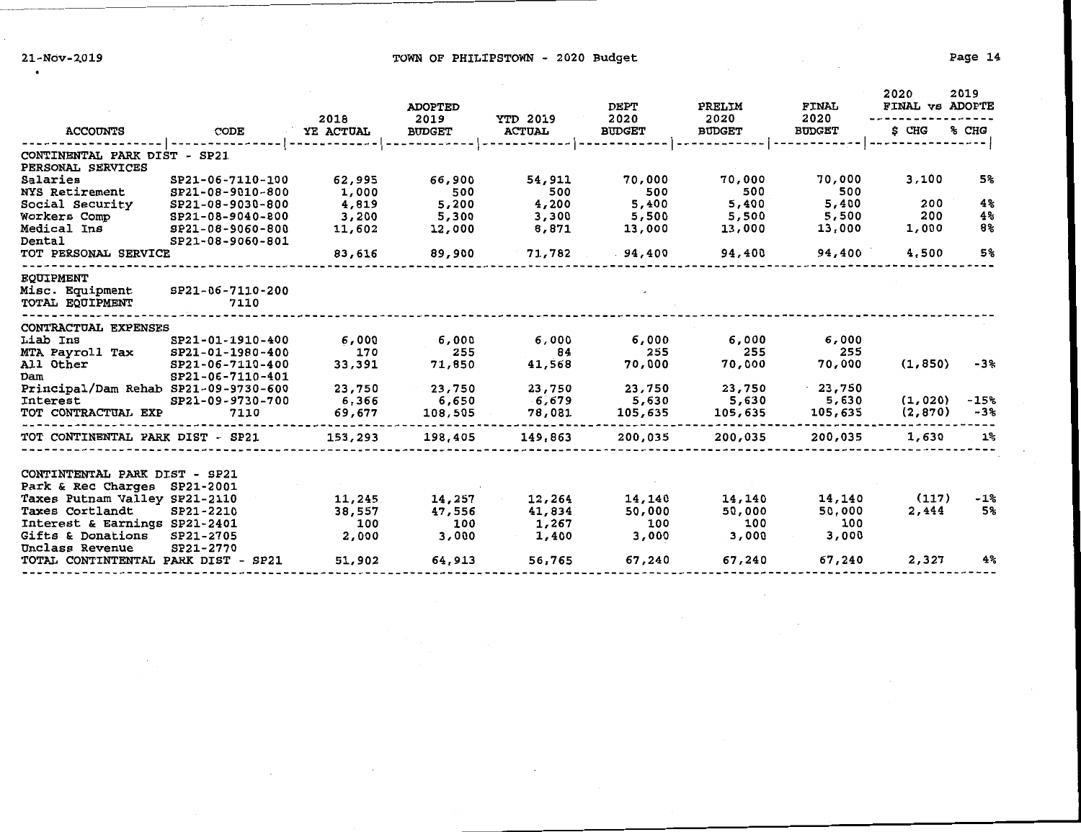$\sim$ 

21-Nov-2019 **Example 2018** TOWN OF PHILIPSTOWN - 2020 Budget

|                                                   |                          | 2018      | <b>ADOPTED</b><br>2019<br><b>BUDGET</b> | <b>YTD 2019</b><br><b>ACTUAL</b> | <b>DEPT</b><br>2020 | PRELIM<br>2020 | <b>FINAL</b><br>2020 | 2020<br>FINAL VS ADOPTE | 2019     |
|---------------------------------------------------|--------------------------|-----------|-----------------------------------------|----------------------------------|---------------------|----------------|----------------------|-------------------------|----------|
| <b>ACCOUNTS</b>                                   | CODE                     | YE ACTUAL |                                         |                                  | <b>BUDGET</b>       | <b>BUDGET</b>  | <b>BUDGET</b>        | S CHG                   | $\$$ CHG |
| CONTINENTAL PARK DIST - SP21<br>PERSONAL SERVICES |                          |           |                                         |                                  |                     |                |                      |                         |          |
| Salaries                                          | SP21-06-7110-100         | 62,995    | 66,900                                  | 54,911                           | 70,000              | 70,000         | 70,000               | 3,100                   | 5%       |
| NYS Retirement                                    | SP21-08-9010-800         | 1,000     | 500                                     | 500                              | 500                 | 500            | 500                  |                         |          |
| Social Security                                   | SP21-08-9030-800         | 4,819     | 5,200                                   | 4,200                            | 5,400               | 5,400          | 5,400                | 200                     | 4%       |
| Workers Comp                                      | SP21-08-9040-800         | 3,200     | 5,300                                   | 3,300                            | 5,500               | 5,500          | 5,500                | 200                     | 4%       |
| Medical Ins                                       | SP21-08-9060-800         | 11,602    | 12,000                                  | 8,871                            | 13,000              | 13,000         | 13,000               | 1,000                   | 8%       |
| Dental                                            | SP21-08-9060-801         |           |                                         |                                  |                     |                |                      |                         |          |
| TOT PERSONAL SERVICE                              |                          | 83,616    | 89,900                                  | 71,782                           | .94,400             | 94,400         | 94,400               | 4,500                   | 5%       |
| <b>EOUIPMENT</b>                                  |                          |           |                                         |                                  |                     |                |                      |                         |          |
| Misc. Equipment<br>TOTAL EOUIPMENT                | SP21-06-7110-200<br>7110 |           |                                         |                                  |                     |                |                      |                         |          |
| CONTRACTUAL EXPENSES                              |                          |           |                                         |                                  |                     |                |                      |                         |          |
| Liab Ins                                          | SP21-01-1910-400         | 6,000     | 6,000                                   | 6,000                            | 6,000               | 6,000          | 6,000                |                         |          |
| MTA Payroll Tax                                   | SP21-01-1980-400         | 170       | 255                                     | 84                               | 255                 | 255            | 255                  |                         |          |
| All Other                                         | SP21-06-7110-400         | 33,391    | 71,850                                  | 41,568                           | 70,000              | 70,000         | 70,000               | (1, 850)                | $-3%$    |
| Dam                                               | SP21-06-7110-401         |           |                                         |                                  |                     |                |                      |                         |          |
| Principal/Dam Rehab SP21-09-9730-600              |                          | 23,750    | 23,750                                  | 23,750                           | 23,750              | 23,750         | .23,750              |                         |          |
| Interest                                          | SP21-09-9730-700         | 6,366     | 6,650                                   | 6,679                            | 5,630               | 5,630          | 5,630                | (1,020)                 | $-15%$   |
| TOT CONTRACTUAL EXP                               | 7110                     | 69,677    | 108,505                                 | 78,081                           | 105,635             | 105,635        | 105,635              | (2, 870)                | -3%      |
| TOT CONTINENTAL PARK DIST - SP21                  |                          | 153,293   | 198,405                                 | 149,863                          | 200,035             | 200,035        | 200,035              | 1,630                   | $1\%$    |
| CONTINTENTAL PARK DIST - SP21                     |                          |           |                                         |                                  |                     |                |                      |                         |          |
| Park & Rec Charges                                | SP21-2001                |           |                                         |                                  |                     |                |                      |                         |          |
| Taxes Putnam Valley SP21-2110                     |                          | 11,245    | 14,257                                  | 12,264                           | 14,140              | 14,140         | 14,140               | (117)                   | $-1%$    |
| Taxes Cortlandt                                   | SP21-2210                | 38,557    | 47,556                                  | 41,834                           | 50,000              | 50,000         | 50,000               | 2,444                   | 5%       |
| Interest & Earnings SP21-2401                     |                          | 100       | 100                                     | 1,267                            | 100                 | 100            | 100                  |                         |          |
| Gifts & Donations                                 | SP21-2705                | 2,000     | 3,000                                   | 1,400                            | 3,000               | 3,000          | 3,000                |                         |          |
| Unclass Revenue                                   | SP21-2770                |           |                                         |                                  |                     |                |                      |                         |          |
| TOTAL CONTINTENTAL PARK DIST - SP21               |                          | 51,902    | 64,913                                  | 56,765                           | 67,240              | 67,240         | 67,240               | 2,327                   | 4%       |
|                                                   |                          |           |                                         |                                  |                     |                |                      |                         |          |

 $\sim$ 

 $\sim$ 

 $\cdot$